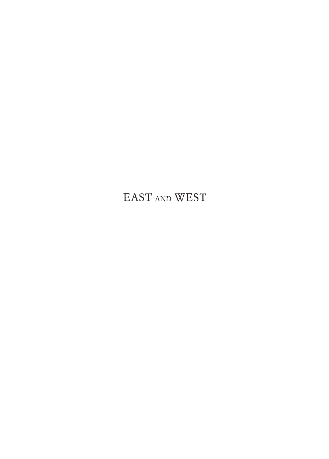# EAST AND WEST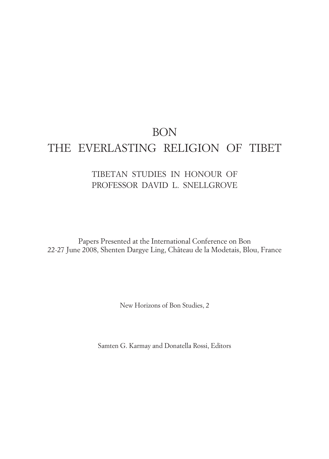## BON THE EVERLASTING RELIGION OF TIBET

## TIBETAN STUDIES IN HONOUR OF PROFESSOR DAVID L. SNELLGROVE

Papers Presented at the International Conference on Bon 22-27 June 2008, Shenten Dargye Ling, Château de la Modetais, Blou, France

New Horizons of Bon Studies, 2

Samten G. Karmay and Donatella Rossi, Editors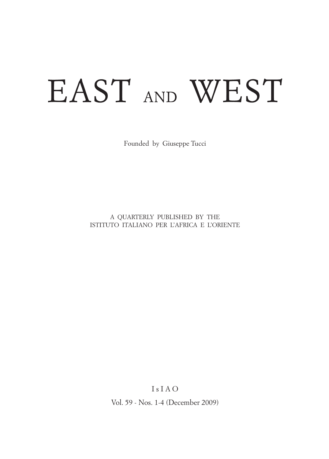# EAST AND WEST

Founded by Giuseppe Tucci

A QUARTERLY PUBLISHED BY THE ISTITUTO ITALIANO PER L'AFRICA E L'ORIENTE

> I s I A O Vol. 59 - Nos. 1-4 (December 2009)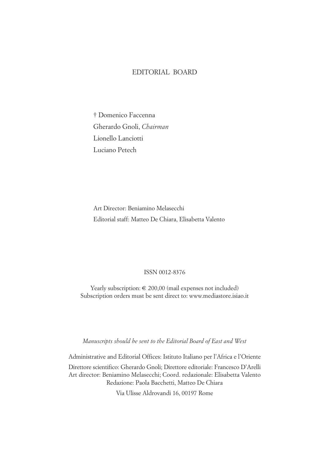## EDITORIAL BOARD

† Domenico Faccenna Gherardo Gnoli, *Chairman* Lionello Lanciotti Luciano Petech

Art Director: Beniamino Melasecchi Editorial staff: Matteo De Chiara, Elisabetta Valento

#### ISSN 0012-8376

Yearly subscription:  $\in$  200,00 (mail expenses not included) Subscription orders must be sent direct to: www.mediastore.isiao.it

*Manuscripts should be sent to the Editorial Board of East and West*

Administrative and Editorial Offices: Istituto Italiano per l'Africa e l'Oriente

Direttore scientifico: Gherardo Gnoli; Direttore editoriale: Francesco D'Arelli Art director: Beniamino Melasecchi; Coord. redazionale: Elisabetta Valento Redazione: Paola Bacchetti, Matteo De Chiara

Via Ulisse Aldrovandi 16, 00197 Rome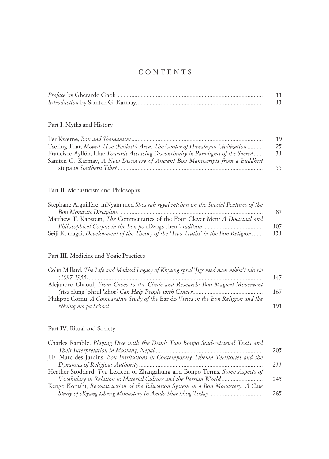## C O N T E N T S

## Part I. Myths and History

|                                                                                   | 19 |
|-----------------------------------------------------------------------------------|----|
| Tsering Thar, Mount Ti se (Kailash) Area: The Center of Himalayan Civilization    | 25 |
| Francisco Ayllón, Lha: Towards Assessing Discontinuity in Paradigms of the Sacred | 31 |
| Samten G. Karmay, A New Discovery of Ancient Bon Manuscripts from a Buddhist      |    |
|                                                                                   | 55 |

## Part II. Monasticism and Philosophy

| Stéphane Arguillère, mNyam med Shes rab rgyal mtshan on the Special Features of the |     |
|-------------------------------------------------------------------------------------|-----|
|                                                                                     | 87  |
| Matthew T. Kapstein, The Commentaries of the Four Clever Men: A Doctrinal and       |     |
|                                                                                     | 107 |
| Seiji Kumagai, Development of the Theory of the 'Two Truths' in the Bon Religion    | 131 |

## Part III. Medicine and Yogic Practices

| 147 |
|-----|
|     |
| 167 |
|     |
| 191 |
|     |

## Part IV. Ritual and Society

| Charles Ramble, <i>Playing Dice with the Devil: Two Bonpo Soul-retrieval Texts and</i> |     |
|----------------------------------------------------------------------------------------|-----|
|                                                                                        | 205 |
| J.F. Marc des Jardins, Bon Institutions in Contemporary Tibetan Territories and the    |     |
|                                                                                        | 233 |
| Heather Stoddard, The Lexicon of Zhangzhung and Bonpo Terms. Some Aspects of           |     |
| Vocabulary in Relation to Material Culture and the Persian World                       | 245 |
| Kengo Konishi, Reconstruction of the Education System in a Bon Monastery: A Case       |     |
|                                                                                        | 265 |
|                                                                                        |     |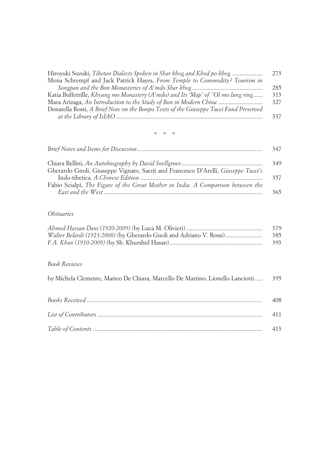| Hiroyuki Suzuki, Tibetan Dialects Spoken in Shar khog and Khod po khog                | 273 |
|---------------------------------------------------------------------------------------|-----|
| Mona Schrempf and Jack Patrick Hayes, From Temple to Commodity? Tourism in            |     |
|                                                                                       | 285 |
| Katia Buffetrille, Khyung mo Monastery (A'mdo) and Its 'Map' of 'Ol mo lung ring      | 313 |
| Mara Arizaga, An Introduction to the Study of Bon in Modern China                     | 327 |
| Donatella Rossi, A Brief Note on the Bonpo Texts of the Giuseppe Tucci Fund Preserved |     |
|                                                                                       | 337 |

## \*\*\*

|--|--|--|--|

|                                                                                   | 349 |
|-----------------------------------------------------------------------------------|-----|
| Gherardo Gnoli, Giuseppe Vignato, Saerji and Francesco D'Arelli, Giuseppe Tucci's |     |
|                                                                                   | 357 |
| Fabio Scialpi, The Figure of the Great Mother in India. A Comparison between the  |     |
|                                                                                   | 365 |

## *Obituaries*

|                                                                     | 379   |
|---------------------------------------------------------------------|-------|
| Walter Belardi (1923-2008) (by Gherardo Gnoli and Adriano V. Rossi) | 385   |
|                                                                     | - 393 |

## *Book Reviews*

| by Michela Clemente, Matteo De Chiara, Marcello De Martino, Lionello Lanciotti  395 |      |
|-------------------------------------------------------------------------------------|------|
|                                                                                     | 408  |
|                                                                                     | 411  |
|                                                                                     | 413. |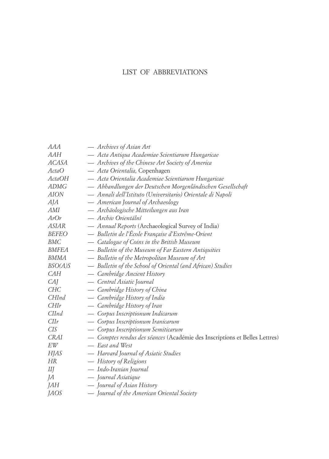## LIST OF ABBREVIATIONS

| AAA           | - Archives of Asian Art                                                    |
|---------------|----------------------------------------------------------------------------|
| <b>AAH</b>    | — Acta Antiqua Academiae Scientiarum Hungaricae                            |
| <b>ACASA</b>  | - Archives of the Chinese Art Society of America                           |
| ActaO         | — Acta Orientalia, Copenhagen                                              |
| <b>ActaOH</b> | — Acta Orientalia Academiae Scientiarum Hungaricae                         |
| <b>ADMG</b>   | — Abhandlungen der Deutschen Morgenländischen Gesellschaft                 |
| AION          | — Annali dell'Istituto (Universitario) Orientale di Napoli                 |
| AJA           | — American Journal of Archaeology                                          |
| AMI           | - Archäologische Mitteilungen aus Iran                                     |
| ArOr          | — Archiv Orientální                                                        |
| ASIAR         | - Annual Reports (Archaeological Survey of India)                          |
| <b>BEFEO</b>  | — Bulletin de l'École Française d'Extrême-Orient                           |
| BMC           | — Catalogue of Coins in the British Museum                                 |
| <b>BMFEA</b>  | - Bulletin of the Museum of Far Eastern Antiquities                        |
| <b>BMMA</b>   | - Bulletin of the Metropolitan Museum of Art                               |
| BSO(A)S       | — Bulletin of the School of Oriental (and African) Studies                 |
| CAH           | — Cambridge Ancient History                                                |
| CAI           | — Central Asiatic Journal                                                  |
| CHC           | — Cambridge History of China                                               |
| <b>CHInd</b>  | — Cambridge History of India                                               |
| CHIr          | — Cambridge History of Iran                                                |
| CIInd         | - Corpus Inscriptionum Indicarum                                           |
| CIIr          | — Corpus Inscriptionum Iranicarum                                          |
| <i>CIS</i>    | — Corpus Inscriptionum Semiticarum                                         |
| <b>CRAI</b>   | - Comptes rendus des séances (Académie des Inscriptions et Belles Lettres) |
| EW            | - East and West                                                            |
| <b>HJAS</b>   | - Harvard Journal of Asiatic Studies                                       |
| <b>HR</b>     | — History of Religions                                                     |
| Ш             | — Indo-Iranian Journal                                                     |
| JA            | — Journal Asiatique                                                        |
| JAH           | - Journal of Asian History                                                 |
| <i>JAOS</i>   | — Journal of the American Oriental Society                                 |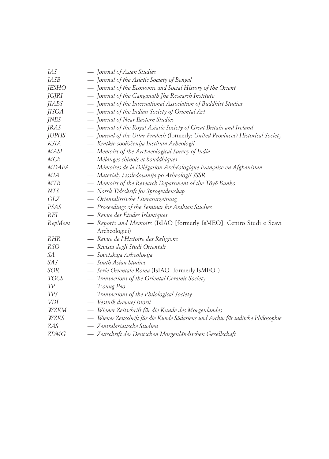| JAS          | - Journal of Asian Studies                                                       |
|--------------|----------------------------------------------------------------------------------|
| <b>JASB</b>  | — Journal of the Asiatic Society of Bengal                                       |
| <b>JESHO</b> | — Journal of the Economic and Social History of the Orient                       |
| JGJRI        | — Journal of the Ganganath Jha Research Institute                                |
| <b>JIABS</b> | - Journal of the International Association of Buddhist Studies                   |
| <b>JISOA</b> | — Journal of the Indian Society of Oriental Art                                  |
| <i>JNES</i>  | - Journal of Near Eastern Studies                                                |
| <b>JRAS</b>  | - Journal of the Royal Asiatic Society of Great Britain and Ireland              |
| JUPHS        | - Journal of the Uttar Pradesh (formerly: United Provinces) Historical Society   |
| <b>KSIA</b>  | — Kratkie soobščenija Instituta Arheologii                                       |
| MASI         | - Memoirs of the Archaeological Survey of India                                  |
| MCB          | — Mélanges chinois et bouddhiques                                                |
| <b>MDAFA</b> | — Mémoires de la Délégation Archéologique Française en Afghanistan               |
| МIА          | - Materialy i issledovanija po Arheologii SSSR                                   |
| <b>MTB</b>   | — Memoirs of the Research Department of the Tôyô Bunko                           |
| NTS          | - Norsk Tidsskrift for Sprogvidenskap                                            |
| <i>OLZ</i>   | — Orientalistische Literaturzeitung                                              |
| <b>PSAS</b>  | - Proceedings of the Seminar for Arabian Studies                                 |
| <b>REI</b>   | — Revue des Études Islamiques                                                    |
| RepMem       | - Reports and Memoirs (IsIAO [formerly IsMEO], Centro Studi e Scavi              |
|              | Archeologici)                                                                    |
| RHR          | - Revue de l'Histoire des Religions                                              |
| <b>RSO</b>   | — Rivista degli Studi Orientali                                                  |
| SА           | — Sovetskaja Arheologija                                                         |
| SAS          | — South Asian Studies                                                            |
| SOR          | - Serie Orientale Roma (IsIAO [formerly IsMEO])                                  |
| <b>TOCS</b>  | — Transactions of the Oriental Ceramic Society                                   |
| TP           | $-$ T'oung Pao                                                                   |
| TPS          | - Transactions of the Philological Society                                       |
| <b>VDI</b>   | — Vestnik drevnej istorii                                                        |
| WZKM         | — Wiener Zeitschrift für die Kunde des Morgenlandes                              |
| WZKS         | — Wiener Zeitschrift für die Kunde Südasiens und Archiv für indische Philosophie |
| ZAS          | — Zentralasiatische Studien                                                      |
| <b>ZDMG</b>  | - Zeitschrift der Deutschen Morgenländischen Gesellschaft                        |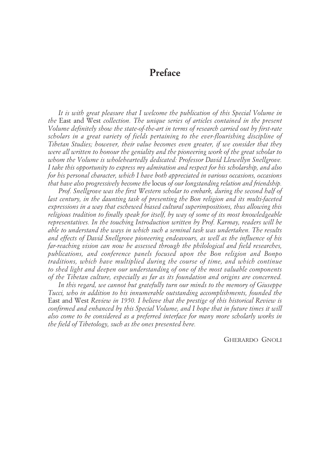## **Preface**

*It is with great pleasure that I welcome the publication of this Special Volume in the* East and West *collection. The unique series of articles contained in the present Volume definitely show the state-of-the-art in terms of research carried out by first-rate scholars in a great variety of fields pertaining to the ever-flourishing discipline of Tibetan Studies; however, their value becomes even greater, if we consider that they were all written to honour the geniality and the pioneering work of the great scholar to whom the Volume is wholeheartedly dedicated: Professor David Llewellyn Snellgrove. I take this opportunity to express my admiration and respect for his scholarship, and also for his personal character, which I have both appreciated in various occasions, occasions that have also progressively become the* locus *of our longstanding relation and friendship.*

*Prof. Snellgrove was the first Western scholar to embark, during the second half of last century, in the daunting task of presenting the Bon religion and its multi-faceted expressions in a way that eschewed biased cultural superimpositions, thus allowing this religious tradition to finally speak for itself, by way of some of its most knowledgeable representatives. In the touching Introduction written by Prof. Karmay, readers will be able to understand the ways in which such a seminal task was undertaken. The results and effects of David Snellgrove pioneering endeavours, as well as the influence of his far-reaching vision can now be assessed through the philological and field researches, publications, and conference panels focused upon the Bon religion and Bonpo traditions, which have multiplied during the course of time, and which continue to shed light and deepen our understanding of one of the most valuable components of the Tibetan culture, especially as far as its foundation and origins are concerned.*

*In this regard, we cannot but gratefully turn our minds to the memory of Giuseppe Tucci, who in addition to his innumerable outstanding accomplishments, founded the* East and West *Review in 1950. I believe that the prestige of this historical Review is confirmed and enhanced by this Special Volume, and I hope that in future times it will also come to be considered as a preferred interface for many more scholarly works in the field of Tibetology, such as the ones presented here.*

GHERARDO GNOLI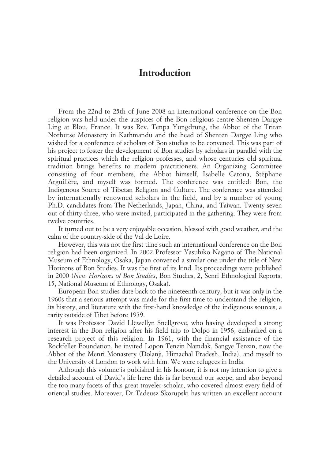## **Introduction**

From the 22nd to 25th of June 2008 an international conference on the Bon religion was held under the auspices of the Bon religious centre Shenten Dargye Ling at Blou, France. It was Rev. Tenpa Yungdrung, the Abbot of the Tritan Norbutse Monastery in Kathmandu and the head of Shenten Dargye Ling who wished for a conference of scholars of Bon studies to be convened. This was part of his project to foster the development of Bon studies by scholars in parallel with the spiritual practices which the religion professes, and whose centuries old spiritual tradition brings benefits to modern practitioners. An Organizing Committee consisting of four members, the Abbot himself, Isabelle Catona, Stéphane Arguillère, and myself was formed. The conference was entitled: Bon, the Indigenous Source of Tibetan Religion and Culture. The conference was attended by internationally renowned scholars in the field, and by a number of young Ph.D. candidates from The Netherlands, Japan, China, and Taiwan. Twenty-seven out of thirty-three, who were invited, participated in the gathering. They were from twelve countries.

It turned out to be a very enjoyable occasion, blessed with good weather, and the calm of the country-side of the Val de Loire.

However, this was not the first time such an international conference on the Bon religion had been organized. In 2002 Professor Yasuhiko Nagano of The National Museum of Ethnology, Osaka, Japan convened a similar one under the title of New Horizons of Bon Studies. It was the first of its kind. Its proceedings were published in 2000 (*New Horizons of Bon Studies*, Bon Studies, 2, Senri Ethnological Reports, 15, National Museum of Ethnology, Osaka).

European Bon studies date back to the nineteenth century, but it was only in the 1960s that a serious attempt was made for the first time to understand the religion, its history, and literature with the first-hand knowledge of the indigenous sources, a rarity outside of Tibet before 1959.

It was Professor David Llewellyn Snellgrove, who having developed a strong interest in the Bon religion after his field trip to Dolpo in 1956, embarked on a research project of this religion. In 1961, with the financial assistance of the Rockfeller Foundation, he invited Lopon Tenzin Namdak, Sangye Tenzin, now the Abbot of the Menri Monastery (Dolanji, Himachal Pradesh, India), and myself to the University of London to work with him. We were refugees in India.

Although this volume is published in his honour, it is not my intention to give a detailed account of David's life here: this is far beyond our scope, and also beyond the too many facets of this great traveler-scholar, who covered almost every field of oriental studies. Moreover, Dr Tadeusz Skorupski has written an excellent account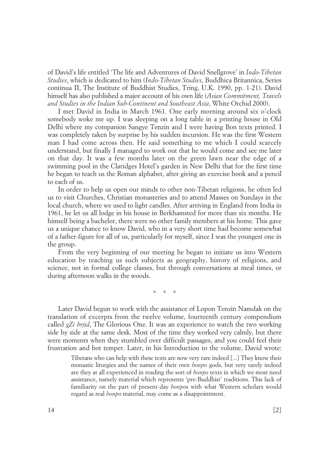of David's life entitled 'The life and Adventures of David Snellgrove' in *Indo-Tibetan Studies*, which is dedicated to him (*Indo-Tibetan Studies*, Buddhica Britannica, Series continua II, The Institute of Buddhist Studies, Tring, U.K. 1990, pp. 1-21). David himself has also published a major account of his own life (*Asian Commitment, Travels and Studies in the Indian Sub-Continent and Southeast Asia*, White Orchid 2000).

I met David in India in March 1961. One early morning around six o'clock somebody woke me up. I was sleeping on a long table in a printing house in Old Delhi where my companion Sangye Tenzin and I were having Bon texts printed. I was completely taken by surprise by his sudden incursion. He was the first Western man I had come across then. He said something to me which I could scarcely understand, but finally I managed to work out that he would come and see me later on that day. It was a few months later on the green lawn near the edge of a swimming pool in the Claridges Hotel's garden in New Delhi that for the first time he began to teach us the Roman alphabet, after giving an exercise book and a pencil to each of us.

In order to help us open our minds to other non-Tibetan religions, he often led us to visit Churches, Christian monasteries and to attend Masses on Sundays in the local church, where we used to light candles. After arriving in England from India in 1961, he let us all lodge in his house in Berkhamsted for more than six months. He himself being a bachelor, there were no other family members at his home. This gave us a unique chance to know David, who in a very short time had become somewhat of a father-figure for all of us, particularly for myself, since I was the youngest one in the group.

From the very beginning of our meeting he began to initiate us into Western education by teaching us such subjects as geography, history of religions, and science, not in formal college classes, but through conversations at meal times, or during afternoon walks in the woods.

\*\*\*

Later David begun to work with the assistance of Lopon Tenzin Namdak on the translation of excerpts from the twelve volume, fourteenth century compendium called *gZi brjid*, The Glorious One. It was an experience to watch the two working side by side at the same desk. Most of the time they worked very calmly, but there were moments when they stumbled over difficult passages, and you could feel their frustration and hot temper. Later, in his Introduction to the volume, David wrote:

> Tibetans who can help with these texts are now very rare indeed [...] They know their monastic liturgies and the names of their own *bonpo* gods, but very rarely indeed are they at all experienced in reading the sort of *bonpo* texts in which we most need assistance, namely material which represents 'pre-Buddhist' traditions. This lack of familiarity on the part of present-day *bonpo*s with what Western scholars would regard as real *bonpo* material, may come as a disappointment.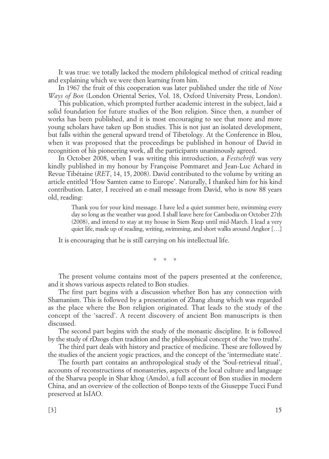It was true: we totally lacked the modern philological method of critical reading and explaining which we were then learning from him.

In 1967 the fruit of this cooperation was later published under the title of *Nine Ways of Bon* (London Oriental Series, Vol. 18, Oxford University Press, London).

This publication, which prompted further academic interest in the subject, laid a solid foundation for future studies of the Bon religion. Since then, a number of works has been published, and it is most encouraging to see that more and more young scholars have taken up Bon studies. This is not just an isolated development, but falls within the general upward trend of Tibetology. At the Conference in Blou, when it was proposed that the proceedings be published in honour of David in recognition of his pioneering work, all the participants unanimously agreed.

In October 2008, when I was writing this introduction, a *Festschrift* was very kindly published in my honour by Françoise Pommaret and Jean-Luc Achard in Revue Tibétaine (*RET*, 14, 15, 2008). David contributed to the volume by writing an article entitled 'How Samten came to Europe'. Naturally, I thanked him for his kind contribution. Later, I received an e-mail message from David, who is now 88 years old, reading:

Thank you for your kind message. I have led a quiet summer here, swimming every day so long as the weather was good. I shall leave here for Cambodia on October 27th (2008), and intend to stay at my house in Siem Reap until mid-March. I lead a very quiet life, made up of reading, writing, swimming, and short walks around Angkor […]

It is encouraging that he is still carrying on his intellectual life.

\*\*\*

The present volume contains most of the papers presented at the conference, and it shows various aspects related to Bon studies.

The first part begins with a discussion whether Bon has any connection with Shamanism. This is followed by a presentation of Zhang zhung which was regarded as the place where the Bon religion originated. That leads to the study of the concept of the 'sacred'. A recent discovery of ancient Bon manuscripts is then discussed.

The second part begins with the study of the monastic discipline. It is followed by the study of rDzogs chen tradition and the philosophical concept of the 'two truths'.

The third part deals with history and practice of medicine. These are followed by the studies of the ancient yogic practices, and the concept of the 'intermediate state'.

The fourth part contains an anthropological study of the 'Soul-retrieval ritual', accounts of reconstructions of monasteries, aspects of the local culture and language of the Sharwa people in Shar khog (Amdo), a full account of Bon studies in modern China, and an overview of the collection of Bonpo texts of the Giuseppe Tucci Fund preserved at IsIAO.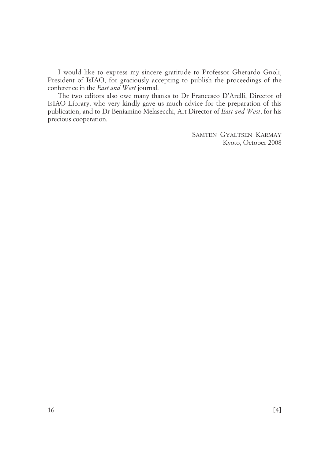I would like to express my sincere gratitude to Professor Gherardo Gnoli, President of IsIAO, for graciously accepting to publish the proceedings of the conference in the *East and West* journal.

The two editors also owe many thanks to Dr Francesco D'Arelli, Director of IsIAO Library, who very kindly gave us much advice for the preparation of this publication, and to Dr Beniamino Melasecchi, Art Director of *East and West*, for his precious cooperation.

> SAMTEN GYALTSEN KARMAY Kyoto, October 2008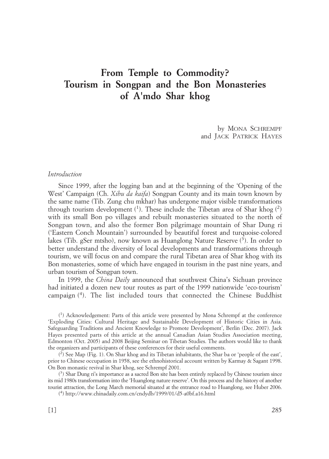## **From Temple to Commodity? Tourism in Songpan and the Bon Monasteries of A'mdo Shar khog**

by MONA SCHREMPF and JACK PATRICK HAYES

#### *Introduction*

Since 1999, after the logging ban and at the beginning of the 'Opening of the West' Campaign (Ch. *Xibu da kaifa*) Songpan County and its main town known by the same name (Tib. Zung chu mkhar) has undergone major visible transformations through tourism development  $(1)$ . These include the Tibetan area of Shar khog  $(2)$ with its small Bon po villages and rebuilt monasteries situated to the north of Songpan town, and also the former Bon pilgrimage mountain of Shar Dung ri ('Eastern Conch Mountain') surrounded by beautiful forest and turquoise-colored lakes (Tib. gSer mtsho), now known as Huanglong Nature Reserve  $\binom{3}{2}$ . In order to better understand the diversity of local developments and transformations through tourism, we will focus on and compare the rural Tibetan area of Shar khog with its Bon monasteries, some of which have engaged in tourism in the past nine years, and urban tourism of Songpan town.

In 1999, the *China Daily* announced that southwest China's Sichuan province had initiated a dozen new tour routes as part of the 1999 nationwide 'eco-tourism' campaign<sup>(4)</sup>. The list included tours that connected the Chinese Buddhist

( 1 ) Acknowledgement: Parts of this article were presented by Mona Schrempf at the conference 'Exploding Cities: Cultural Heritage and Sustainable Development of Historic Cities in Asia. Safeguarding Traditions and Ancient Knowledge to Promote Development', Berlin (Dec. 2007). Jack Hayes presented parts of this article at the annual Canadian Asian Studies Association meeting, Edmonton (Oct. 2005) and 2008 Beijing Seminar on Tibetan Studies. The authors would like to thank the organizers and participants of these conferences for their useful comments.

( 2 ) See Map (Fig. 1). On Shar khog and its Tibetan inhabitants, the Shar ba or 'people of the east', prior to Chinese occupation in 1958, see the ethnohistorical account written by Karmay & Sagant 1998. On Bon monastic revival in Shar khog, see Schrempf 2001.

( 3 ) Shar Dung ri's importance as a sacred Bon site has been entirely replaced by Chinese tourism since its mid 1980s transformation into the 'Huanglong nature reserve'. On this process and the history of another tourist attraction, the Long March memorial situated at the entrance road to Huanglong, see Huber 2006.

( 4 ) http://www.chinadaily.com.cn/cndydb/1999/01/d5-a0bf.a16.html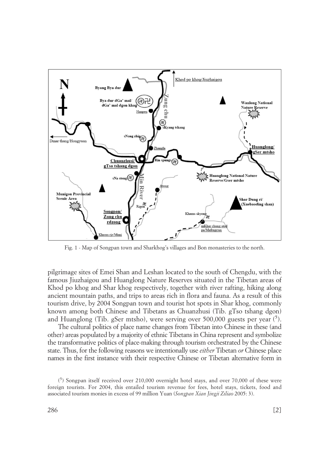

Fig. 1 - Map of Songpan town and Sharkhog's villages and Bon monasteries to the north.

pilgrimage sites of Emei Shan and Leshan located to the south of Chengdu, with the famous Jiuzhaigou and Huanglong Nature Reserves situated in the Tibetan areas of Khod po khog and Shar khog respectively, together with river rafting, hiking along ancient mountain paths, and trips to areas rich in flora and fauna. As a result of this tourism drive, by 2004 Songpan town and tourist hot spots in Shar khog, commonly known among both Chinese and Tibetans as Chuanzhusi (Tib. gTso tshang dgon) and Huanglong (Tib. gSer mtsho), were serving over 500,000 guests per year  $(5)$ .

The cultural politics of place name changes from Tibetan into Chinese in these (and other) areas populated by a majority of ethnic Tibetans in China represent and symbolize the transformative politics of place-making through tourism orchestrated by the Chinese state. Thus, for the following reasons we intentionally use *either* Tibetan *or* Chinese place names in the first instance with their respective Chinese or Tibetan alternative form in

<sup>(</sup> 5 ) Songpan itself received over 210,000 overnight hotel stays, and over 70,000 of these were foreign tourists. For 2004, this entailed tourism revenue for fees, hotel stays, tickets, food and associated tourism monies in excess of 99 million Yuan (*Songpan Xian Jingji Ziliao* 2005: 3).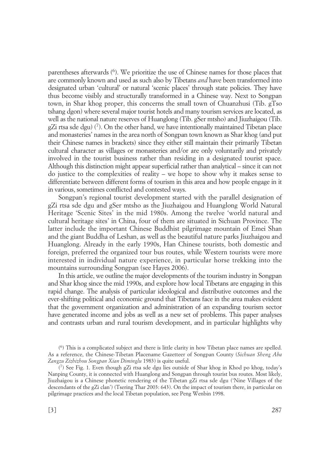parentheses afterwards (<sup>6</sup>). We prioritize the use of Chinese names for those places that are commonly known and used as such also by Tibetans *and* have been transformed into designated urban 'cultural' or natural 'scenic places' through state policies. They have thus become visibly and structurally transformed in a Chinese way. Next to Songpan town, in Shar khog proper, this concerns the small town of Chuanzhusi (Tib. gTso tshang dgon) where several major tourist hotels and many tourism services are located, as well as the national nature reserves of Huanglong (Tib. gSer mtsho) and Jiuzhaigou (Tib. gZi rtsa sde dgu)<sup>(7</sup>). On the other hand, we have intentionally maintained Tibetan place and monasteries' names in the area north of Songpan town known as Shar khog (and put their Chinese names in brackets) since they either still maintain their primarily Tibetan cultural character as villages or monasteries and/or are only voluntarily and privately involved in the tourist business rather than residing in a designated tourist space. Although this distinction might appear superficial rather than analytical – since it can not do justice to the complexities of reality – we hope to show why it makes sense to differentiate between different forms of tourism in this area and how people engage in it in various, sometimes conflicted and contested ways.

Songpan's regional tourist development started with the parallel designation of gZi rtsa sde dgu and gSer mtsho as the Jiuzhaigou and Huanglong World Natural Heritage 'Scenic Sites' in the mid 1980s. Among the twelve 'world natural and cultural heritage sites' in China, four of them are situated in Sichuan Province. The latter include the important Chinese Buddhist pilgrimage mountain of Emei Shan and the giant Buddha of Leshan, as well as the beautiful nature parks Jiuzhaigou and Huanglong. Already in the early 1990s, Han Chinese tourists, both domestic and foreign, preferred the organized tour bus routes, while Western tourists were more interested in individual nature experience, in particular horse trekking into the mountains surrounding Songpan (see Hayes 2006).

In this article, we outline the major developments of the tourism industry in Songpan and Shar khog since the mid 1990s, and explore how local Tibetans are engaging in this rapid change. The analysis of particular ideological and distributive outcomes and the ever-shifting political and economic ground that Tibetans face in the area makes evident that the government organization and administration of an expanding tourism sector have generated income and jobs as well as a new set of problems. This paper analyses and contrasts urban and rural tourism development, and in particular highlights why

<sup>(</sup> 6 ) This is a complicated subject and there is little clarity in how Tibetan place names are spelled. As a reference, the Chinese-Tibetan Placename Gazetteer of Songpan County (*Sichuan Sheng Aba Zangzu Zizhizhou Songpan Xian Diminglu* 1983) is quite useful.

<sup>(</sup> 7 ) See Fig. 1. Even though gZi rtsa sde dgu lies outside of Shar khog in Khod po khog, today's Nanping County, it is connected with Huanglong and Songpan through tourist bus routes. Most likely, Jiuzhaigou is a Chinese phonetic rendering of the Tibetan gZi rtsa sde dgu ('Nine Villages of the descendants of the gZi clan') (Tsering Thar 2003: 643). On the impact of tourism there, in particular on pilgrimage practices and the local Tibetan population, see Peng Wenbin 1998.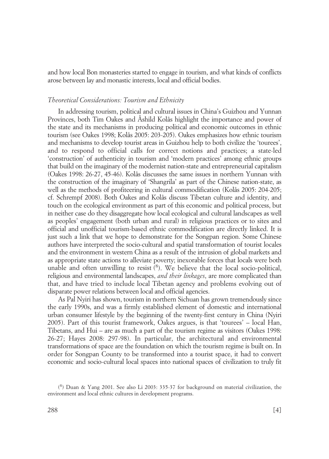and how local Bon monasteries started to engage in tourism, and what kinds of conflicts arose between lay and monastic interests, local and official bodies.

#### *Theoretical Considerations: Tourism and Ethnicity*

In addressing tourism, political and cultural issues in China's Guizhou and Yunnan Provinces, both Tim Oakes and Åshild Kolås highlight the importance and power of the state and its mechanisms in producing political and economic outcomes in ethnic tourism (see Oakes 1998; Kolås 2005: 203-205). Oakes emphasizes how ethnic tourism and mechanisms to develop tourist areas in Guizhou help to both civilize the 'tourees', and to respond to official calls for correct notions and practices; a state-led 'construction' of authenticity in tourism and 'modern practices' among ethnic groups that build on the imaginary of the modernist nation-state and entrepreneurial capitalism (Oakes 1998: 26-27, 45-46). Kolås discusses the same issues in northern Yunnan with the construction of the imaginary of 'Shangrila' as part of the Chinese nation-state, as well as the methods of profiteering in cultural commodification (Kolås 2005: 204-205; cf. Schrempf 2008). Both Oakes and Kolås discuss Tibetan culture and identity, and touch on the ecological environment as part of this economic and political process, but in neither case do they disaggregate how local ecological and cultural landscapes as well as peoples' engagement (both urban and rural) in religious practices or to sites and official and unofficial tourism-based ethnic commodification are directly linked. It is just such a link that we hope to demonstrate for the Songpan region. Some Chinese authors have interpreted the socio-cultural and spatial transformation of tourist locales and the environment in western China as a result of the intrusion of global markets and as appropriate state actions to alleviate poverty; inexorable forces that locals were both unable and often unwilling to resist  $(8)$ . We believe that the local socio-political, religious and environmental landscapes, *and their linkages*, are more complicated than that, and have tried to include local Tibetan agency and problems evolving out of disparate power relations between local and official agencies.

As Pal Nyiri has shown, tourism in northern Sichuan has grown tremendously since the early 1990s, and was a firmly established element of domestic and international urban consumer lifestyle by the beginning of the twenty-first century in China (Nyiri 2005). Part of this tourist framework, Oakes argues, is that 'tourees' – local Han, Tibetans, and Hui – are as much a part of the tourism regime as visitors (Oakes 1998: 26-27; Hayes 2008: 297-98). In particular, the architectural and environmental transformations of space are the foundation on which the tourism regime is built on. In order for Songpan County to be transformed into a tourist space, it had to convert economic and socio-cultural local spaces into national spaces of civilization to truly fit

<sup>(</sup> 8 ) Duan & Yang 2001. See also Li 2003: 335-37 for background on material civilization, the environment and local ethnic cultures in development programs.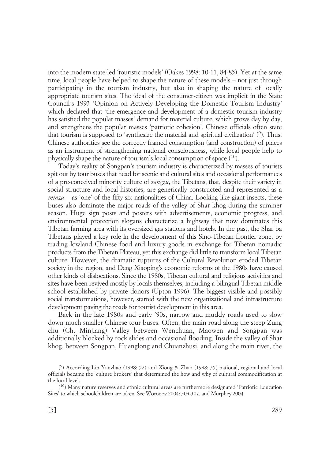into the modern state-led 'touristic models' (Oakes 1998: 10-11, 84-85). Yet at the same time, local people have helped to shape the nature of these models – not just through participating in the tourism industry, but also in shaping the nature of locally appropriate tourism sites. The ideal of the consumer-citizen was implicit in the State Council's 1993 'Opinion on Actively Developing the Domestic Tourism Industry' which declared that 'the emergence and development of a domestic tourism industry has satisfied the popular masses' demand for material culture, which grows day by day, and strengthens the popular masses 'patriotic cohesion'. Chinese officials often state that tourism is supposed to 'synthesize the material and spiritual civilization'  $(2)$ . Thus, Chinese authorities see the correctly framed consumption (and construction) of places as an instrument of strengthening national consciousness, while local people help to physically shape the nature of tourism's local consumption of space  $(10)$ .

Today's reality of Songpan's tourism industry is characterized by masses of tourists spit out by tour buses that head for scenic and cultural sites and occasional performances of a pre-conceived minority culture of *zangzu*, the Tibetans, that, despite their variety in social structure and local histories, are generically constructed and represented as a *minzu* – as 'one' of the fifty-six nationalities of China. Looking like giant insects, these buses also dominate the major roads of the valley of Shar khog during the summer season. Huge sign posts and posters with advertisements, economic progress, and environmental protection slogans characterize a highway that now dominates this Tibetan farming area with its oversized gas stations and hotels. In the past, the Shar ba Tibetans played a key role in the development of this Sino-Tibetan frontier zone, by trading lowland Chinese food and luxury goods in exchange for Tibetan nomadic products from the Tibetan Plateau, yet this exchange did little to transform local Tibetan culture. However, the dramatic ruptures of the Cultural Revolution eroded Tibetan society in the region, and Deng Xiaoping's economic reforms of the 1980s have caused other kinds of dislocations. Since the 1980s, Tibetan cultural and religious activities and sites have been revived mostly by locals themselves, including a bilingual Tibetan middle school established by private donors (Upton 1996). The biggest visible and possibly social transformations, however, started with the new organizational and infrastructure development paving the roads for tourist development in this area.

Back in the late 1980s and early '90s, narrow and muddy roads used to slow down much smaller Chinese tour buses. Often, the main road along the steep Zung chu (Ch. Minjiang) Valley between Wenchuan, Maowen and Songpan was additionally blocked by rock slides and occasional flooding. Inside the valley of Shar khog, between Songpan, Huanglong and Chuanzhusi, and along the main river, the

<sup>(</sup> 9 ) According Lin Yanzhao (1998: 52) and Xiong & Zhao (1998: 35) national, regional and local officials became the 'culture brokers' that determined the how and why of cultural commodification at the local level.

<sup>(</sup> 10) Many nature reserves and ethnic cultural areas are furthermore designated 'Patriotic Education Sites' to which schoolchildren are taken. See Woronov 2004: 303-307, and Murphey 2004.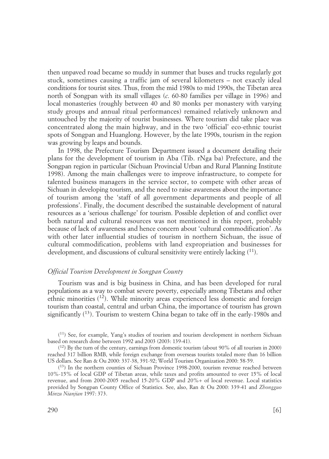then unpaved road became so muddy in summer that buses and trucks regularly got stuck, sometimes causing a traffic jam of several kilometers – not exactly ideal conditions for tourist sites. Thus, from the mid 1980s to mid 1990s, the Tibetan area north of Songpan with its small villages (*c*. 60-80 families per village in 1996) and local monasteries (roughly between 40 and 80 monks per monastery with varying study groups and annual ritual performances) remained relatively unknown and untouched by the majority of tourist businesses. Where tourism did take place was concentrated along the main highway, and in the two 'official' eco-ethnic tourist spots of Songpan and Huanglong. However, by the late 1990s, tourism in the region was growing by leaps and bounds.

In 1998, the Prefecture Tourism Department issued a document detailing their plans for the development of tourism in Aba (Tib. rNga ba) Prefecture, and the Songpan region in particular (Sichuan Provincial Urban and Rural Planning Institute 1998). Among the main challenges were to improve infrastructure, to compete for talented business managers in the service sector, to compete with other areas of Sichuan in developing tourism, and the need to raise awareness about the importance of tourism among the 'staff of all government departments and people of all professions'. Finally, the document described the sustainable development of natural resources as a 'serious challenge' for tourism. Possible depletion of and conflict over both natural and cultural resources was not mentioned in this report, probably because of lack of awareness and hence concern about 'cultural commodification'. As with other later influential studies of tourism in northern Sichuan, the issue of cultural commodification, problems with land expropriation and businesses for development, and discussions of cultural sensitivity were entirely lacking (11).

#### *Official Tourism Development in Songpan County*

Tourism was and is big business in China, and has been developed for rural populations as a way to combat severe poverty, especially among Tibetans and other ethnic minorities  $(1^2)$ . While minority areas experienced less domestic and foreign tourism than coastal, central and urban China, the importance of tourism has grown significantly  $(13)$ . Tourism to western China began to take off in the early-1980s and

( 11) See, for example, Yang's studies of tourism and tourism development in northern Sichuan based on research done between 1992 and 2003 (2003: 139-41).

( 12) By the turn of the century, earnings from domestic tourism (about 90% of all tourism in 2000) reached 317 billion RMB, while foreign exchange from overseas tourists totaled more than 16 billion US dollars. See Ran & Ou 2000: 337-38, 391-92; World Tourism Organization 2000: 58-59.

( 13) In the northern counties of Sichuan Province 1998-2000, tourism revenue reached between 10%-15% of local GDP of Tibetan areas, while taxes and profits amounted to over 15% of local revenue, and from 2000-2005 reached 15-20% GDP and 20%+ of local revenue. Local statistics provided by Songpan County Office of Statistics. See, also, Ran & Ou 2000: 339-41 and *Zhongguo Minzu Nianjian* 1997: 373.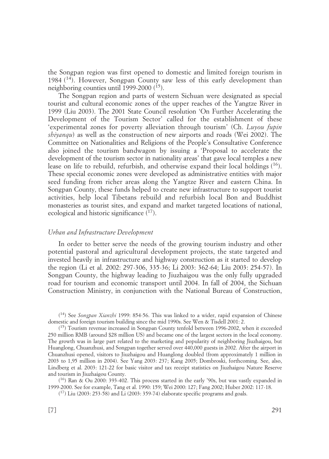the Songpan region was first opened to domestic and limited foreign tourism in 1984<sup>(14)</sup>. However, Songpan County saw less of this early development than neighboring counties until 1999-2000 (<sup>15</sup>).

The Songpan region and parts of western Sichuan were designated as special tourist and cultural economic zones of the upper reaches of the Yangtze River in 1999 (Liu 2003). The 2001 State Council resolution 'On Further Accelerating the Development of the Tourism Sector' called for the establishment of these 'experimental zones for poverty alleviation through tourism' (Ch. *Luyou fupin shiyanqu*) as well as the construction of new airports and roads (Wei 2002). The Committee on Nationalities and Religions of the People's Consultative Conference also joined the tourism bandwagon by issuing a 'Proposal to accelerate the development of the tourism sector in nationality areas' that gave local temples a new lease on life to rebuild, refurbish, and otherwise expand their local holdings  $(16)$ . These special economic zones were developed as administrative entities with major seed funding from richer areas along the Yangtze River and eastern China. In Songpan County, these funds helped to create new infrastructure to support tourist activities, help local Tibetans rebuild and refurbish local Bon and Buddhist monasteries as tourist sites, and expand and market targeted locations of national, ecological and historic significance  $(17)$ .

#### *Urban and Infrastructure Development*

In order to better serve the needs of the growing tourism industry and other potential pastoral and agricultural development projects, the state targeted and invested heavily in infrastructure and highway construction as it started to develop the region (Li et al. 2002: 297-306, 335-36; Li 2003: 362-64; Liu 2003: 254-57). In Songpan County, the highway leading to Jiuzhaigou was the only fully upgraded road for tourism and economic transport until 2004. In fall of 2004, the Sichuan Construction Ministry, in conjunction with the National Bureau of Construction,

( 14) See *Songpan Xianzhi* 1999: 854-56. This was linked to a wider, rapid expansion of Chinese domestic and foreign tourism building since the mid 1990s. See Wen & Tisdell 2001: 2.

(<sup>15</sup>) Tourism revenue increased in Songpan County tenfold between 1996-2002, when it exceeded 250 million RMB (around \$28 million US) and became one of the largest sectors in the local economy. The growth was in large part related to the marketing and popularity of neighboring Jiuzhaigou, but Huanglong, Chuanzhusi, and Songpan together served over 440,000 guests in 2002. After the airport in Chuanzhusi opened, visitors to Jiuzhaigou and Huanglong doubled (from approximately 1 million in 2003 to 1,95 million in 2004). See Yang 2003: 237; Kang 2005; Dombroski, forthcoming. See, also, Lindberg et al. 2003: 121-22 for basic visitor and tax receipt statistics on Jiuzhaigou Nature Reserve and tourism in Jiuzhaigou County.

( 16) Ran & Ou 2000: 393-402. This process started in the early '90s, but was vastly expanded in 1999-2000. See for example, Tang et al. 1990: 159; Wei 2000: 127; Fang 2002; Huber 2002: 117-18.

 $(17)$  Liu (2003: 253-58) and Li (2003: 359-74) elaborate specific programs and goals.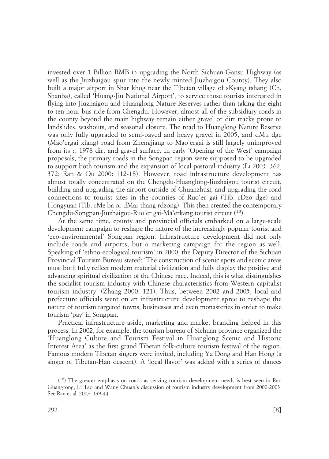invested over 1 Billion RMB in upgrading the North Sichuan-Gansu Highway (as well as the Jiuzhaigou spur into the newly minted Jiuzhaigou County). They also built a major airport in Shar khog near the Tibetan village of sKyang tshang (Ch. Shanba), called 'Huang-Jiu National Airport', to service those tourists interested in flying into Jiuzhaigou and Huanglong Nature Reserves rather than taking the eight to ten hour bus ride from Chengdu. However, almost all of the subsidiary roads in the county beyond the main highway remain either gravel or dirt tracks prone to landslides, washouts, and seasonal closure. The road to Huanglong Nature Reserve was only fully upgraded to semi-paved and heavy gravel in 2005, and dMu dge (Mao'ergai xiang) road from Zhengjiang to Mao'ergai is still largely unimproved from its *c*. 1978 dirt and gravel surface. In early 'Opening of the West' campaign proposals, the primary roads in the Songpan region were supposed to be upgraded to support both tourism and the expansion of local pastoral industry (Li 2003: 362, 372; Ran & Ou 2000: 112-18). However, road infrastructure development has almost totally concentrated on the Chengdu-Huanglong-Jiuzhaigou tourist circuit, building and upgrading the airport outside of Chuanzhusi, and upgrading the road connections to tourist sites in the counties of Ruo'er gai (Tib. rDzo dge) and Hongyuan (Tib. rMe ba or dMar thang rdzong). This then created the contemporary Chengdu-Songpan-Jiuzhaigou-Ruo'er gai-Ma'erkang tourist circuit (<sup>18</sup>).

At the same time, county and provincial officials embarked on a large-scale development campaign to reshape the nature of the increasingly popular tourist and 'eco-environmental' Songpan region. Infrastructure development did not only include roads and airports, but a marketing campaign for the region as well. Speaking of 'ethno-ecological tourism' in 2000, the Deputy Director of the Sichuan Provincial Tourism Bureau stated: 'The construction of scenic spots and scenic areas must both fully reflect modern material civilization and fully display the positive and advancing spiritual civilization of the Chinese race. Indeed, this is what distinguishes the socialist tourism industry with Chinese characteristics from Western capitalist tourism industry' (Zhang 2000: 121). Thus, between 2002 and 2005, local and prefecture officials went on an infrastructure development spree to reshape the nature of tourism targeted towns, businesses and even monasteries in order to make tourism 'pay' in Songpan.

Practical infrastructure aside, marketing and market branding helped in this process. In 2002, for example, the tourism bureau of Sichuan province organized the 'Huanglong Culture and Tourism Festival in Huanglong Scenic and Historic Interest Area' as the first grand Tibetan folk-culture tourism festival of the region. Famous modern Tibetan singers were invited, including Ya Dong and Han Hong (a singer of Tibetan-Han descent). A 'local flavor' was added with a series of dances

<sup>(</sup> 18) The greater emphasis on roads as serving tourism development needs is best seen in Ran Guangrong, Li Tao and Wang Chuan's discussion of tourism industry development from 2000-2003. See Ran et al. 2003: 139-44.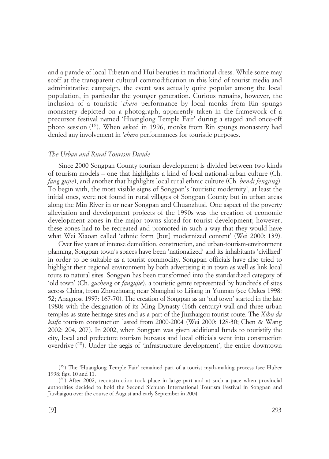and a parade of local Tibetan and Hui beauties in traditional dress. While some may scoff at the transparent cultural commodification in this kind of tourist media and administrative campaign, the event was actually quite popular among the local population, in particular the younger generation. Curious remains, however, the inclusion of a touristic '*cham* performance by local monks from Rin spungs monastery depicted on a photograph, apparently taken in the framework of a precursor festival named 'Huanglong Temple Fair' during a staged and once-off photo session  $(19)$ . When asked in 1996, monks from Rin spungs monastery had denied any involvement in *'cham* performances for touristic purposes.

## *The Urban and Rural Tourism Divide*

Since 2000 Songpan County tourism development is divided between two kinds of tourism models – one that highlights a kind of local national-urban culture (Ch. *fang gujie*), and another that highlights local rural ethnic culture (Ch. *bendi fengjing*). To begin with, the most visible signs of Songpan's 'touristic modernity', at least the initial ones, were not found in rural villages of Songpan County but in urban areas along the Min River in or near Songpan and Chuanzhusi. One aspect of the poverty alleviation and development projects of the 1990s was the creation of economic development zones in the major towns slated for tourist development; however, these zones had to be recreated and promoted in such a way that they would have what Wei Xiaoan called 'ethnic form [but] modernized content' (Wei 2000: 139).

Over five years of intense demolition, construction, and urban-tourism-environment planning, Songpan town's spaces have been 'nationalized' and its inhabitants 'civilized' in order to be suitable as a tourist commodity. Songpan officials have also tried to highlight their regional environment by both advertising it in town as well as link local tours to natural sites. Songpan has been transformed into the standardized category of 'old town' (Ch. *gucheng* or *fangujie*), a touristic genre represented by hundreds of sites across China, from Zhouzhuang near Shanghai to Lijiang in Yunnan (see Oakes 1998: 52; Anagnost 1997: 167-70). The creation of Songpan as an 'old town' started in the late 1980s with the designation of its Ming Dynasty (16th century) wall and three urban temples as state heritage sites and as a part of the Jiuzhaigou tourist route. The *Xibu da kaifa* tourism construction lasted from 2000-2004 (Wei 2000: 128-30; Chen & Wang 2002: 204, 207). In 2002, when Songpan was given additional funds to touristify the city, local and prefecture tourism bureaus and local officials went into construction overdrive<sup>(20</sup>). Under the aegis of 'infrastructure development', the entire downtown

<sup>(</sup> 19) The 'Huanglong Temple Fair' remained part of a tourist myth-making process (see Huber 1998: figs. 10 and 11.

<sup>(</sup> 20) After 2002, reconstruction took place in large part and at such a pace when provincial authorities decided to hold the Second Sichuan International Tourism Festival in Songpan and Jiuzhaigou over the course of August and early September in 2004.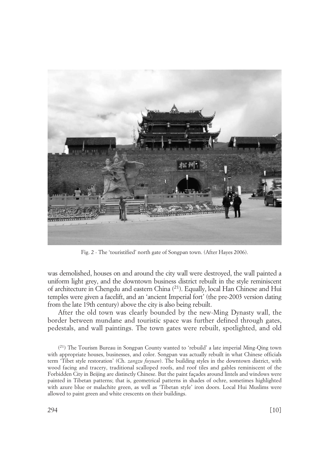

Fig. 2 - The 'touristified' north gate of Songpan town. (After Hayes 2006).

was demolished, houses on and around the city wall were destroyed, the wall painted a uniform light grey, and the downtown business district rebuilt in the style reminiscent of architecture in Chengdu and eastern China (21). Equally, local Han Chinese and Hui temples were given a facelift, and an 'ancient Imperial fort' (the pre-2003 version dating from the late 19th century) above the city is also being rebuilt.

After the old town was clearly bounded by the new-Ming Dynasty wall, the border between mundane and touristic space was further defined through gates, pedestals, and wall paintings. The town gates were rebuilt, spotlighted, and old

(<sup>21</sup>) The Tourism Bureau in Songpan County wanted to 'rebuild' a late imperial Ming-Qing town with appropriate houses, businesses, and color. Songpan was actually rebuilt in what Chinese officials term 'Tibet style restoration' (Ch. *zangzu fuyuan*). The building styles in the downtown district, with wood facing and tracery, traditional scalloped roofs, and roof tiles and gables reminiscent of the Forbidden City in Beijing are distinctly Chinese. But the paint façades around lintels and windows were painted in Tibetan patterns; that is, geometrical patterns in shades of ochre, sometimes highlighted with azure blue or malachite green, as well as 'Tibetan style' iron doors. Local Hui Muslims were allowed to paint green and white crescents on their buildings.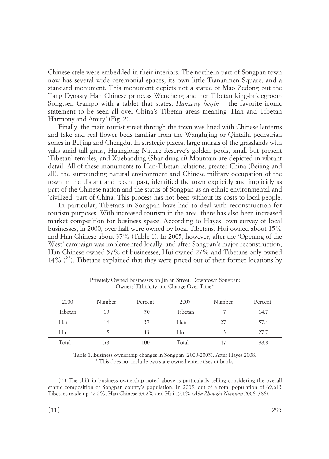Chinese stele were embedded in their interiors. The northern part of Songpan town now has several wide ceremonial spaces, its own little Tiananmen Square, and a standard monument. This monument depicts not a statue of Mao Zedong but the Tang Dynasty Han Chinese princess Wencheng and her Tibetan king-bridegroom Songtsen Gampo with a tablet that states, *Hanzang heqin* – the favorite iconic statement to be seen all over China's Tibetan areas meaning 'Han and Tibetan Harmony and Amity' (Fig. 2).

Finally, the main tourist street through the town was lined with Chinese lanterns and fake and real flower beds familiar from the Wangfujing or Qintailu pedestrian zones in Beijing and Chengdu. In strategic places, large murals of the grasslands with yaks amid tall grass, Huanglong Nature Reserve's golden pools, small but present 'Tibetan' temples, and Xuebaoding (Shar dung ri) Mountain are depicted in vibrant detail. All of these monuments to Han-Tibetan relations, greater China (Beijing and all), the surrounding natural environment and Chinese military occupation of the town in the distant and recent past, identified the town explicitly and implicitly as part of the Chinese nation and the status of Songpan as an ethnic-environmental and 'civilized' part of China. This process has not been without its costs to local people.

In particular, Tibetans in Songpan have had to deal with reconstruction for tourism purposes. With increased tourism in the area, there has also been increased market competition for business space. According to Hayes' own survey of local businesses, in 2000, over half were owned by local Tibetans. Hui owned about 15% and Han Chinese about 37% (Table 1). In 2005, however, after the 'Opening of the West' campaign was implemented locally, and after Songpan's major reconstruction, Han Chinese owned 57% of businesses, Hui owned 27% and Tibetans only owned 14%  $(22)$ . Tibetans explained that they were priced out of their former locations by

| 2000    | Number | Percent | 2005    | Number | Percent |
|---------|--------|---------|---------|--------|---------|
| Tibetan | 19     | 50      | Tibetan |        | 14.7    |
| Han     | 14     | 37      | Han     | 27     | 57.4    |
| Hui     |        | 13      | Hui     | 13     | 27.7    |
| Total   | 38     | 100     | Total   | 47     | 98.8    |

Privately Owned Businesses on Jin'an Street, Downtown Songpan: Owners' Ethnicity and Change Over Time\*

Table 1. Business ownership changes in Songpan (2000-2005). After Hayes 2008. \* This does not include two state-owned enterprises or banks.

(<sup>22</sup>) The shift in business ownership noted above is particularly telling considering the overall ethnic composition of Songpan county's population. In 2005, out of a total population of 69,613 Tibetans made up 42.2%, Han Chinese 33.2% and Hui 15.1% (*Aba Zhouzhi Nianjian* 2006: 386).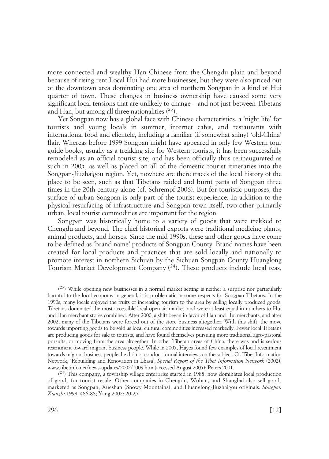more connected and wealthy Han Chinese from the Chengdu plain and beyond because of rising rent Local Hui had more businesses, but they were also priced out of the downtown area dominating one area of northern Songpan in a kind of Hui quarter of town. These changes in business ownership have caused some very significant local tensions that are unlikely to change – and not just between Tibetans and Han, but among all three nationalities  $(2^3)$ .

Yet Songpan now has a global face with Chinese characteristics, a 'night life' for tourists and young locals in summer, internet cafes, and restaurants with international food and clientele, including a familiar (if somewhat shiny) 'old-China' flair. Whereas before 1999 Songpan might have appeared in only few Western tour guide books, usually as a trekking site for Western tourists, it has been successfully remodeled as an official tourist site, and has been officially thus re-inaugurated as such in 2005, as well as placed on all of the domestic tourist itineraries into the Songpan-Jiuzhaigou region. Yet, nowhere are there traces of the local history of the place to be seen, such as that Tibetans raided and burnt parts of Songpan three times in the 20th century alone (cf. Schrempf 2006). But for touristic purposes, the surface of urban Songpan is only part of the tourist experience. In addition to the physical resurfacing of infrastructure and Songpan town itself, two other primarily urban, local tourist commodities are important for the region.

Songpan was historically home to a variety of goods that were trekked to Chengdu and beyond. The chief historical exports were traditional medicine plants, animal products, and horses. Since the mid 1990s, these and other goods have come to be defined as 'brand name' products of Songpan County. Brand names have been created for local products and practices that are sold locally and nationally to promote interest in northern Sichuan by the Sichuan Songpan County Huanglong Tourism Market Development Company<sup>(24</sup>). These products include local teas,

(<sup>23</sup>) While opening new businesses in a normal market setting is neither a surprise nor particularly harmful to the local economy in general, it is problematic in some respects for Songpan Tibetans. In the 1990s, many locals enjoyed the fruits of increasing tourism to the area by selling locally produced goods. Tibetans dominated the most accessible local open-air market, and were at least equal in numbers to Hui and Han merchant stores combined. After 2000, a shift began in favor of Han and Hui merchants, and after 2002, many of the Tibetans were forced out of the store business altogether. With this shift, the move towards importing goods to be sold as local cultural commodities increased markedly. Fewer local Tibetans are producing goods for sale to tourists, and have found themselves pursuing more traditional agro-pastoral pursuits, or moving from the area altogether. In other Tibetan areas of China, there was and is serious resentment toward migrant business people. While in 2005, Hayes found few examples of local resentment towards migrant business people, he did not conduct formal interviews on the subject. Cf. Tibet Information Network, 'Rebuilding and Renovation in Lhasa', *Special Report of the Tibet Information Network* (2002), www.tibetinfo.net/news-updates/2002/1009.htm (accessed August 2005); Peters 2001.

( 24) This company, a township village enterprise started in 1988, now dominates local production of goods for tourist resale. Other companies in Chengdu, Wuhan, and Shanghai also sell goods marketed as Songpan, Xueshan (Snowy Mountains), and Huanglong-Jiuzhaigou originals. *Songpan Xianzhi* 1999: 486-88; Yang 2002: 20-25.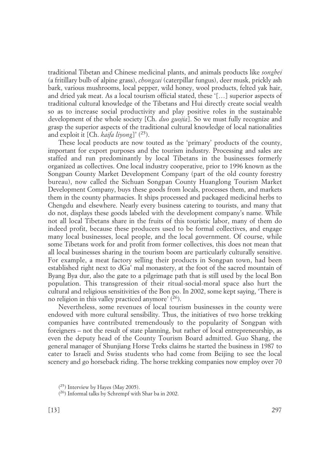traditional Tibetan and Chinese medicinal plants, and animals products like *songbei* (a fritillary bulb of alpine grass), *chongcai* (caterpillar fungus), deer musk, prickly ash bark, various mushrooms, local pepper, wild honey, wool products, felted yak hair, and dried yak meat. As a local tourism official stated, these '[…] superior aspects of traditional cultural knowledge of the Tibetans and Hui directly create social wealth so as to increase social productivity and play positive roles in the sustainable development of the whole society [Ch. *duo guojia*]. So we must fully recognize and grasp the superior aspects of the traditional cultural knowledge of local nationalities and exploit it [Ch. *kaifa liyong*]' (<sup>25</sup>).

These local products are now touted as the 'primary' products of the county, important for export purposes and the tourism industry. Processing and sales are staffed and run predominantly by local Tibetans in the businesses formerly organized as collectives. One local industry cooperative, prior to 1996 known as the Songpan County Market Development Company (part of the old county forestry bureau), now called the Sichuan Songpan County Huanglong Tourism Market Development Company, buys these goods from locals, processes them, and markets them in the county pharmacies. It ships processed and packaged medicinal herbs to Chengdu and elsewhere. Nearly every business catering to tourists, and many that do not, displays these goods labeled with the development company's name. While not all local Tibetans share in the fruits of this touristic labor, many of them do indeed profit, because these producers used to be formal collectives, and engage many local businesses, local people, and the local government. Of course, while some Tibetans work for and profit from former collectives, this does not mean that all local businesses sharing in the tourism boom are particularly culturally sensitive. For example, a meat factory selling their products in Songpan town, had been established right next to dGa' mal monastery, at the foot of the sacred mountain of Byang Bya dur, also the gate to a pilgrimage path that is still used by the local Bon population. This transgression of their ritual-social-moral space also hurt the cultural and religious sensitivities of the Bon po. In 2002, some kept saying, 'There is no religion in this valley practiced anymore'  $(\frac{26}{5})$ .

Nevertheless, some revenues of local tourism businesses in the county were endowed with more cultural sensibility. Thus, the initiatives of two horse trekking companies have contributed tremendously to the popularity of Songpan with foreigners – not the result of state planning, but rather of local entrepreneurship, as even the deputy head of the County Tourism Board admitted. Guo Shang, the general manager of Shunjiang Horse Treks claims he started the business in 1987 to cater to Israeli and Swiss students who had come from Beijing to see the local scenery and go horseback riding. The horse trekking companies now employ over 70

<sup>(</sup> 25) Interview by Hayes (May 2005).

<sup>(</sup> 26) Informal talks by Schrempf with Shar ba in 2002.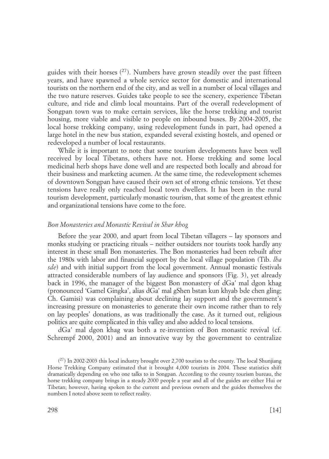guides with their horses  $(27)$ . Numbers have grown steadily over the past fifteen years, and have spawned a whole service sector for domestic and international tourists on the northern end of the city, and as well in a number of local villages and the two nature reserves. Guides take people to see the scenery, experience Tibetan culture, and ride and climb local mountains. Part of the overall redevelopment of Songpan town was to make certain services, like the horse trekking and tourist housing, more viable and visible to people on inbound buses. By 2004-2005, the local horse trekking company, using redevelopment funds in part, had opened a large hotel in the new bus station, expanded several existing hostels, and opened or redeveloped a number of local restaurants.

While it is important to note that some tourism developments have been well received by local Tibetans, others have not. Horse trekking and some local medicinal herb shops have done well and are respected both locally and abroad for their business and marketing acumen. At the same time, the redevelopment schemes of downtown Songpan have caused their own set of strong ethnic tensions. Yet these tensions have really only reached local town dwellers. It has been in the rural tourism development, particularly monastic tourism, that some of the greatest ethnic and organizational tensions have come to the fore.

#### *Bon Monasteries and Monastic Revival in Shar khog*

Before the year 2000, and apart from local Tibetan villagers – lay sponsors and monks studying or practicing rituals – neither outsiders nor tourists took hardly any interest in these small Bon monasteries. The Bon monasteries had been rebuilt after the 1980s with labor and financial support by the local village population (Tib. *lha sde*) and with initial support from the local government. Annual monastic festivals attracted considerable numbers of lay audience and sponsors (Fig. 3), yet already back in 1996, the manager of the biggest Bon monastery of dGa' mal dgon khag (pronounced 'Gamel Gingka', alias dGa' mal gShen bstan kun khyab bde chen gling; Ch. Gamisi) was complaining about declining lay support and the government's increasing pressure on monasteries to generate their own income rather than to rely on lay peoples' donations, as was traditionally the case. As it turned out, religious politics are quite complicated in this valley and also added to local tensions.

dGa' mal dgon khag was both a re-invention of Bon monastic revival (cf. Schrempf 2000, 2001) and an innovative way by the government to centralize

 $(27)$  In 2002-2003 this local industry brought over 2,700 tourists to the county. The local Shunjiang Horse Trekking Company estimated that it brought 4,000 tourists in 2004. These statistics shift dramatically depending on who one talks to in Songpan. According to the county tourism bureau, the horse trekking company brings in a steady 2000 people a year and all of the guides are either Hui or Tibetan; however, having spoken to the current and previous owners and the guides themselves the numbers I noted above seem to reflect reality.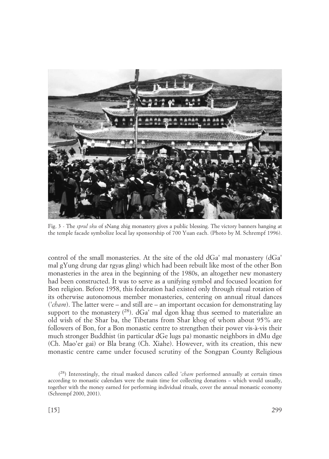

Fig. 3 - The *sprul sku* of sNang zhig monastery gives a public blessing. The victory banners hanging at the temple facade symbolize local lay sponsorship of 700 Yuan each. (Photo by M. Schrempf 1996).

control of the small monasteries. At the site of the old dGa' mal monastery (dGa' mal gYung drung dar rgyas gling) which had been rebuilt like most of the other Bon monasteries in the area in the beginning of the 1980s, an altogether new monastery had been constructed. It was to serve as a unifying symbol and focused location for Bon religion. Before 1958, this federation had existed only through ritual rotation of its otherwise autonomous member monasteries, centering on annual ritual dances (*'cham*). The latter were – and still are – an important occasion for demonstrating lay support to the monastery  $(28)$ . dGa' mal dgon khag thus seemed to materialize an old wish of the Shar ba, the Tibetans from Shar khog of whom about 95% are followers of Bon, for a Bon monastic centre to strengthen their power vis-à-vis their much stronger Buddhist (in particular dGe lugs pa) monastic neighbors in dMu dge (Ch. Mao'er gai) or Bla brang (Ch. Xiahe). However, with its creation, this new monastic centre came under focused scrutiny of the Songpan County Religious

<sup>(</sup> 28) Interestingly, the ritual masked dances called *'cham* performed annually at certain times according to monastic calendars were the main time for collecting donations – which would usually, together with the money earned for performing individual rituals, cover the annual monastic economy (Schrempf 2000, 2001).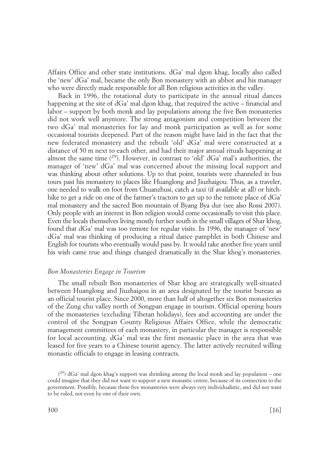Affairs Office and other state institutions. dGa' mal dgon khag, locally also called the 'new' dGa' mal, became the only Bon monastery with an abbot and his manager who were directly made responsible for all Bon religious activities in the valley.

Back in 1996, the rotational duty to participate in the annual ritual dances happening at the site of dGa' mal dgon khag, that required the active – financial and labor – support by both monk and lay populations among the five Bon monasteries did not work well anymore. The strong antagonism and competition between the two dGa' mal monasteries for lay and monk participation as well as for some occasional tourists deepened. Part of the reason might have laid in the fact that the new federated monastery and the rebuilt 'old' dGa' mal were constructed at a distance of 50 m next to each other, and had their major annual rituals happening at almost the same time  $(^{29})$ . However, in contrast to 'old' dGa' mal's authorities, the manager of 'new' dGa' mal was concerned about the missing local support and was thinking about other solutions. Up to that point, tourists were channeled in bus tours past his monastery to places like Huanglong and Jiuzhaigou. Thus, as a traveler, one needed to walk on foot from Chuanzhusi, catch a taxi (if available at all) or hitchhike to get a ride on one of the farmer's tractors to get up to the remote place of dGa' mal monastery and the sacred Bon mountain of Byang Bya dur (see also Rossi 2007). Only people with an interest in Bon religion would come occasionally to visit this place. Even the locals themselves living mostly further south in the small villages of Shar khog, found that dGa' mal was too remote for regular visits. In 1996, the manager of 'new' dGa' mal was thinking of producing a ritual dance pamphlet in both Chinese and English for tourists who eventually would pass by. It would take another five years until his wish came true and things changed dramatically in the Shar khog's monasteries.

#### *Bon Monasteries Engage in Tourism*

The small rebuilt Bon monasteries of Shar khog are strategically well-situated between Huanglong and Jiuzhaigou in an area designated by the tourist bureau as an official tourist place. Since 2000, more than half of altogether six Bon monasteries of the Zung chu valley north of Songpan engage in tourism. Official opening hours of the monasteries (excluding Tibetan holidays), fees and accounting are under the control of the Songpan County Religious Affairs Office, while the democratic management committees of each monastery, in particular the manager is responsible for local accounting. dGa' mal was the first monastic place in the area that was leased for five years to a Chinese tourist agency. The latter actively recruited willing monastic officials to engage in leasing contracts.

 $(29)$  dGa' mal dgon khag's support was shrinking among the local monk and lay population – one could imagine that they did not want to support a new monastic centre, because of its connection to the government. Possibly, because these five monasteries were always very individualistic, and did not want to be ruled, not even by one of their own.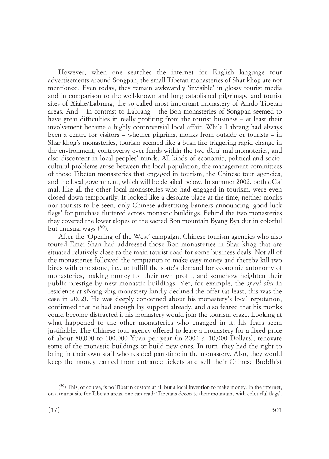However, when one searches the internet for English language tour advertisements around Songpan, the small Tibetan monasteries of Shar khog are not mentioned. Even today, they remain awkwardly 'invisible' in glossy tourist media and in comparison to the well-known and long established pilgrimage and tourist sites of Xiahe/Labrang, the so-called most important monastery of Amdo Tibetan areas. And – in contrast to Labrang – the Bon monasteries of Songpan seemed to have great difficulties in really profiting from the tourist business – at least their involvement became a highly controversial local affair. While Labrang had always been a centre for visitors – whether pilgrims, monks from outside or tourists – in Shar khog's monasteries, tourism seemed like a bush fire triggering rapid change in the environment, controversy over funds within the two dGa' mal monasteries, and also discontent in local peoples' minds. All kinds of economic, political and sociocultural problems arose between the local population, the management committees of those Tibetan monasteries that engaged in tourism, the Chinese tour agencies, and the local government, which will be detailed below. In summer 2002, both dGa' mal, like all the other local monasteries who had engaged in tourism, were even closed down temporarily. It looked like a desolate place at the time, neither monks nor tourists to be seen, only Chinese advertising banners announcing 'good luck flags' for purchase fluttered across monastic buildings. Behind the two monasteries they covered the lower slopes of the sacred Bon mountain Byang Bya dur in colorful but unusual ways  $(^{30})$ .

After the 'Opening of the West' campaign, Chinese tourism agencies who also toured Emei Shan had addressed those Bon monasteries in Shar khog that are situated relatively close to the main tourist road for some business deals. Not all of the monasteries followed the temptation to make easy money and thereby kill two birds with one stone, i.e., to fulfill the state's demand for economic autonomy of monasteries, making money for their own profit, and somehow heighten their public prestige by new monastic buildings. Yet, for example, the *sprul sku* in residence at sNang zhig monastery kindly declined the offer (at least, this was the case in 2002). He was deeply concerned about his monastery's local reputation, confirmed that he had enough lay support already, and also feared that his monks could become distracted if his monastery would join the tourism craze. Looking at what happened to the other monasteries who engaged in it, his fears seem justifiable. The Chinese tour agency offered to lease a monastery for a fixed price of about 80,000 to 100,000 Yuan per year (in 2002 *c*. 10,000 Dollars), renovate some of the monastic buildings or build new ones. In turn, they had the right to bring in their own staff who resided part-time in the monastery. Also, they would keep the money earned from entrance tickets and sell their Chinese Buddhist

<sup>(&</sup>lt;sup>30</sup>) This, of course, is no Tibetan custom at all but a local invention to make money. In the internet, on a tourist site for Tibetan areas, one can read: 'Tibetans decorate their mountains with colourful flags'.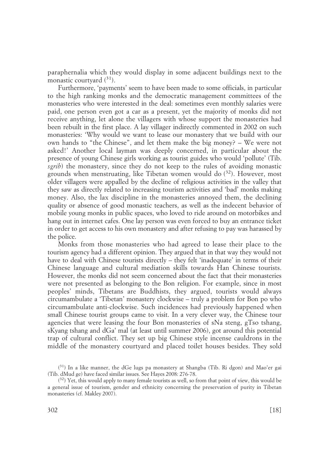paraphernalia which they would display in some adjacent buildings next to the monastic courtyard  $(^{31})$ .

Furthermore, 'payments' seem to have been made to some officials, in particular to the high ranking monks and the democratic management committees of the monasteries who were interested in the deal: sometimes even monthly salaries were paid, one person even got a car as a present, yet the majority of monks did not receive anything, let alone the villagers with whose support the monasteries had been rebuilt in the first place. A lay villager indirectly commented in 2002 on such monasteries: 'Why would we want to lease our monastery that we build with our own hands to "the Chinese", and let them make the big money? – We were not asked!' Another local layman was deeply concerned, in particular about the presence of young Chinese girls working as tourist guides who would 'pollute' (Tib. *sgrib*) the monastery, since they do not keep to the rules of avoiding monastic grounds when menstruating, like Tibetan women would do  $(32)$ . However, most older villagers were appalled by the decline of religious activities in the valley that they saw as directly related to increasing tourism activities and 'bad' monks making money. Also, the lax discipline in the monasteries annoyed them, the declining quality or absence of good monastic teachers, as well as the indecent behavior of mobile young monks in public spaces, who loved to ride around on motorbikes and hang out in internet cafes. One lay person was even forced to buy an entrance ticket in order to get access to his own monastery and after refusing to pay was harassed by the police.

Monks from those monasteries who had agreed to lease their place to the tourism agency had a different opinion. They argued that in that way they would not have to deal with Chinese tourists directly – they felt 'inadequate' in terms of their Chinese language and cultural mediation skills towards Han Chinese tourists. However, the monks did not seem concerned about the fact that their monasteries were not presented as belonging to the Bon religion. For example, since in most peoples' minds, Tibetans are Buddhists, they argued, tourists would always circumambulate a 'Tibetan' monastery clockwise – truly a problem for Bon po who circumambulate anti-clockwise. Such incidences had previously happened when small Chinese tourist groups came to visit. In a very clever way, the Chinese tour agencies that were leasing the four Bon monasteries of sNa steng, gTso tshang, sKyang tshang and dGa' mal (at least until summer 2006), got around this potential trap of cultural conflict. They set up big Chinese style incense cauldrons in the middle of the monastery courtyard and placed toilet houses besides. They sold

 $(31)$  In a like manner, the dGe lugs pa monastery at Shangba (Tib. Ri dgon) and Mao'er gai (Tib. dMud ge) have faced similar issues. See Hayes 2008: 276-78.

<sup>&</sup>lt;sup>(32</sup>) Yet, this would apply to many female tourists as well, so from that point of view, this would be a general issue of tourism, gender and ethnicity concerning the preservation of purity in Tibetan monasteries (cf. Makley 2007).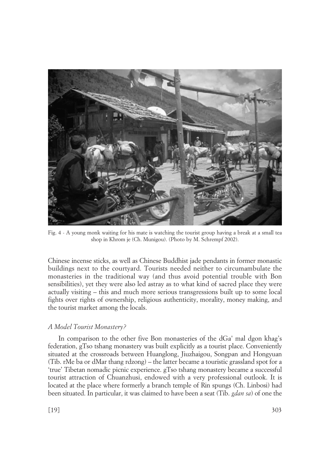

Fig. 4 - A young monk waiting for his mate is watching the tourist group having a break at a small tea shop in Khrom je (Ch. Munigou). (Photo by M. Schrempf 2002).

Chinese incense sticks, as well as Chinese Buddhist jade pendants in former monastic buildings next to the courtyard. Tourists needed neither to circumambulate the monasteries in the traditional way (and thus avoid potential trouble with Bon sensibilities), yet they were also led astray as to what kind of sacred place they were actually visiting – this and much more serious transgressions built up to some local fights over rights of ownership, religious authenticity, morality, money making, and the tourist market among the locals.

## *A Model Tourist Monastery?*

In comparison to the other five Bon monasteries of the dGa' mal dgon khag's federation, gTso tshang monastery was built explicitly as a tourist place. Conveniently situated at the crossroads between Huanglong, Jiuzhaigou, Songpan and Hongyuan (Tib. rMe ba or dMar thang rdzong) – the latter became a touristic grassland spot for a 'true' Tibetan nomadic picnic experience. gTso tshang monastery became a successful tourist attraction of Chuanzhusi, endowed with a very professional outlook. It is located at the place where formerly a branch temple of Rin spungs (Ch. Linbosi) had been situated. In particular, it was claimed to have been a seat (Tib. *gdan sa*) of one the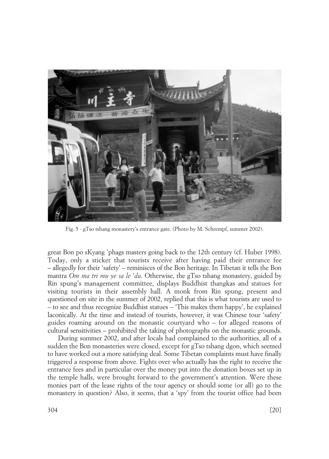

Fig. 5 - gTso tshang monastery's entrance gate. (Photo by M. Schrempf, summer 2002).

great Bon po sKyang 'phags masters going back to the 12th century (cf. Huber 1998). Today, only a sticker that tourists receive after having paid their entrance fee – allegedly for their 'safety' – reminisces of the Bon heritage. In Tibetan it tells the Bon mantra *Om ma tri mu ye sa le 'du*. Otherwise, the gTso tshang monastery, guided by Rin spung's management committee, displays Buddhist thangkas and statues for visiting tourists in their assembly hall. A monk from Rin spung, present and questioned on site in the summer of 2002, replied that this is what tourists are used to – to see and thus recognize Buddhist statues – 'This makes them happy', he explained laconically. At the time and instead of tourists, however, it was Chinese tour 'safety' guides roaming around on the monastic courtyard who – for alleged reasons of cultural sensitivities – prohibited the taking of photographs on the monastic grounds.

During summer 2002, and after locals had complained to the authorities, all of a sudden the Bon monasteries were closed, except for gTso tshang dgon, which seemed to have worked out a more satisfying deal. Some Tibetan complaints must have finally triggered a response from above. Fights over who actually has the right to receive the entrance fees and in particular over the money put into the donation boxes set up in the temple halls, were brought forward to the government's attention. Were these monies part of the lease rights of the tour agency or should some (or all) go to the monastery in question? Also, it seems, that a 'spy' from the tourist office had been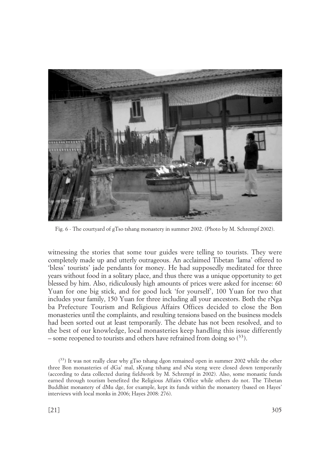

Fig. 6 - The courtyard of gTso tshang monastery in summer 2002. (Photo by M. Schrempf 2002).

witnessing the stories that some tour guides were telling to tourists. They were completely made up and utterly outrageous. An acclaimed Tibetan 'lama' offered to 'bless' tourists' jade pendants for money. He had supposedly meditated for three years without food in a solitary place, and thus there was a unique opportunity to get blessed by him. Also, ridiculously high amounts of prices were asked for incense: 60 Yuan for one big stick, and for good luck 'for yourself', 100 Yuan for two that includes your family, 150 Yuan for three including all your ancestors. Both the rNga ba Prefecture Tourism and Religious Affairs Offices decided to close the Bon monasteries until the complaints, and resulting tensions based on the business models had been sorted out at least temporarily. The debate has not been resolved, and to the best of our knowledge, local monasteries keep handling this issue differently – some reopened to tourists and others have refrained from doing so  $(33)$ .

<sup>(33)</sup> It was not really clear why gTso tshang dgon remained open in summer 2002 while the other three Bon monasteries of dGa' mal, sKyang tshang and sNa steng were closed down temporarily (according to data collected during fieldwork by M. Schrempf in 2002). Also, some monastic funds earned through tourism benefited the Religious Affairs Office while others do not. The Tibetan Buddhist monastery of dMu dge, for example, kept its funds within the monastery (based on Hayes' interviews with local monks in 2006; Hayes 2008: 276).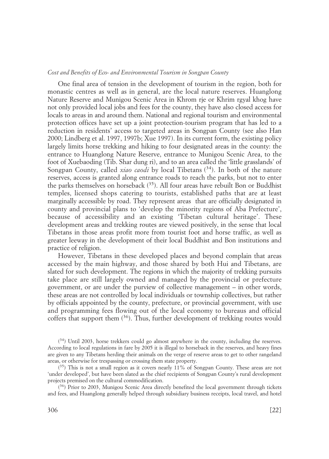#### *Cost and Benefits of Eco- and Environmental Tourism in Songpan County*

One final area of tension in the development of tourism in the region, both for monastic centres as well as in general, are the local nature reserves. Huanglong Nature Reserve and Munigou Scenic Area in Khrom rje or Khrim rgyal khog have not only provided local jobs and fees for the county, they have also closed access for locals to areas in and around them. National and regional tourism and environmental protection offices have set up a joint protection-tourism program that has led to a reduction in residents' access to targeted areas in Songpan County (see also Han 2000; Lindberg et al. 1997, 1997b; Xue 1997). In its current form, the existing policy largely limits horse trekking and hiking to four designated areas in the county: the entrance to Huanglong Nature Reserve, entrance to Munigou Scenic Area, to the foot of Xuebaoding (Tib. Shar dung ri), and to an area called the 'little grasslands' of Songpan County, called *xiao caodi* by local Tibetans<sup>(34)</sup>. In both of the nature reserves, access is granted along entrance roads to reach the parks, but not to enter the parks themselves on horseback  $(35)$ . All four areas have rebuilt Bon or Buddhist temples, licensed shops catering to tourists, established paths that are at least marginally accessible by road. They represent areas that are officially designated in county and provincial plans to 'develop the minority regions of Aba Prefecture', because of accessibility and an existing 'Tibetan cultural heritage'. These development areas and trekking routes are viewed positively, in the sense that local Tibetans in those areas profit more from tourist foot and horse traffic, as well as greater leeway in the development of their local Buddhist and Bon institutions and practice of religion.

However, Tibetans in these developed places and beyond complain that areas accessed by the main highway, and those shared by both Hui and Tibetans, are slated for such development. The regions in which the majority of trekking pursuits take place are still largely owned and managed by the provincial or prefecture government, or are under the purview of collective management – in other words, these areas are not controlled by local individuals or township collectives, but rather by officials appointed by the county, prefecture, or provincial government, with use and programming fees flowing out of the local economy to bureaus and official coffers that support them  $(36)$ . Thus, further development of trekking routes would

<sup>(</sup> 34) Until 2003, horse trekkers could go almost anywhere in the county, including the reserves. According to local regulations in fare by 2005 it is illegal to horseback in the reserves, and heavy fines are given to any Tibetans herding their animals on the verge of reserve areas to get to other rangeland areas, or otherwise for trespassing or crossing them state property.

 $(35)$  This is not a small region as it covers nearly 11% of Songpan County. These areas are not 'under developed', but have been slated as the chief recipients of Songpan County's rural development projects premised on the cultural commodification.

<sup>&</sup>lt;sup>(36)</sup> Prior to 2003, Munigou Scenic Area directly benefited the local government through tickets and fees, and Huanglong generally helped through subsidiary business receipts, local travel, and hotel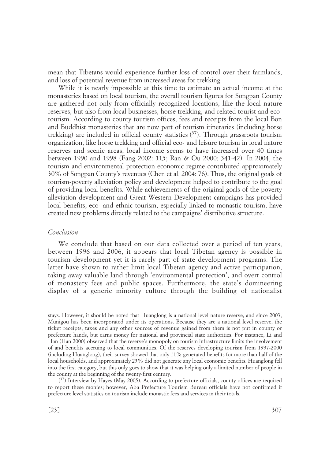mean that Tibetans would experience further loss of control over their farmlands, and loss of potential revenue from increased areas for trekking.

While it is nearly impossible at this time to estimate an actual income at the monasteries based on local tourism, the overall tourism figures for Songpan County are gathered not only from officially recognized locations, like the local nature reserves, but also from local businesses, horse trekking, and related tourist and ecotourism. According to county tourism offices, fees and receipts from the local Bon and Buddhist monasteries that are now part of tourism itineraries (including horse trekking) are included in official county statistics  $(37)$ . Through grassroots tourism organization, like horse trekking and official eco- and leisure tourism in local nature reserves and scenic areas, local income seems to have increased over 40 times between 1990 and 1998 (Fang 2002: 115; Ran & Ou 2000: 341-42). In 2004, the tourism and environmental protection economic regime contributed approximately 30% of Songpan County's revenues (Chen et al. 2004: 76). Thus, the original goals of tourism-poverty alleviation policy and development helped to contribute to the goal of providing local benefits. While achievements of the original goals of the poverty alleviation development and Great Western Development campaigns has provided local benefits, eco- and ethnic tourism, especially linked to monastic tourism, have created new problems directly related to the campaigns' distributive structure.

#### *Conclusion*

We conclude that based on our data collected over a period of ten years, between 1996 and 2006, it appears that local Tibetan agency is possible in tourism development yet it is rarely part of state development programs. The latter have shown to rather limit local Tibetan agency and active participation, taking away valuable land through 'environmental protection', and overt control of monastery fees and public spaces. Furthermore, the state's domineering display of a generic minority culture through the building of nationalist

<sup>(37</sup>) Interview by Hayes (May 2005). According to prefecture officials, county offices are required to report these monies; however, Aba Prefecture Tourism Bureau officials have not confirmed if prefecture level statistics on tourism include monastic fees and services in their totals.

stays. However, it should be noted that Huanglong is a national level nature reserve, and since 2003, Munigou has been incorporated under its operations. Because they are a national level reserve, the ticket receipts, taxes and any other sources of revenue gained from them is not put in county or prefecture hands, but earns money for national and provincial state authorities. For instance, Li and Han (Han 2000) observed that the reserve's monopoly on tourism infrastructure limits the involvement of and benefits accruing to local communities. Of the reserves developing tourism from 1997-2000 (including Huanglong), their survey showed that only 11% generated benefits for more than half of the local households, and approximately 23% did not generate any local economic benefits. Huanglong fell into the first category, but this only goes to show that it was helping only a limited number of people in the county at the beginning of the twenty-first century.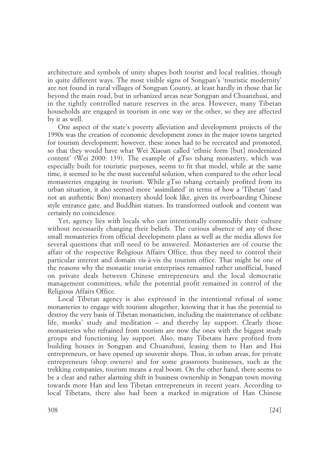architecture and symbols of unity shapes both tourist and local realities, though in quite different ways. The most visible signs of Songpan's 'touristic modernity' are not found in rural villages of Songpan County, at least hardly in those that lie beyond the main road, but in urbanized areas near Songpan and Chuanzhusi, and in the tightly controlled nature reserves in the area. However, many Tibetan households are engaged in tourism in one way or the other, so they are affected by it as well.

One aspect of the state's poverty alleviation and development projects of the 1990s was the creation of economic development zones in the major towns targeted for tourism development; however, these zones had to be recreated and promoted, so that they would have what Wei Xiaoan called 'ethnic form [but] modernized content' (Wei 2000: 139). The example of gTso tshang monastery, which was especially built for touristic purposes, seems to fit that model, while at the same time, it seemed to be the most successful solution, when compared to the other local monasteries engaging in tourism. While gTso tshang certainly profited from its urban situation, it also seemed more 'assimilated' in terms of how a 'Tibetan' (and not an authentic Bon) monastery should look like, given its overboarding Chinese style entrance gate, and Buddhist statues. Its transformed outlook and content was certainly no coincidence.

Yet, agency lies with locals who can intentionally commodify their culture without necessarily changing their beliefs. The curious absence of any of these small monasteries from official development plans as well as the media allows for several questions that still need to be answered. Monasteries are of course the affair of the respective Religious Affairs Office, thus they need to control their particular interest and domain vis-à-vis the tourism office. That might be one of the reasons why the monastic tourist enterprises remained rather unofficial, based on private deals between Chinese entrepreneurs and the local democratic management committees, while the potential profit remained in control of the Religious Affairs Office.

Local Tibetan agency is also expressed in the intentional refusal of some monasteries to engage with tourism altogether, knowing that it has the potential to destroy the very basis of Tibetan monasticism, including the maintenance of celibate life, monks' study and meditation – and thereby lay support. Clearly those monasteries who refrained from tourism are now the ones with the biggest study groups and functioning lay support. Also, many Tibetans have profited from building houses in Songpan and Chuanzhusi, leasing them to Han and Hui entrepreneurs, or have opened up souvenir shops. Thus, in urban areas, for private entrepreneurs (shop owners) and for some grassroots businesses, such as the trekking companies, tourism means a real boom. On the other hand, there seems to be a clear and rather alarming shift in business ownership in Songpan town moving towards more Han and less Tibetan entrepreneurs in recent years. According to local Tibetans, there also had been a marked in-migration of Han Chinese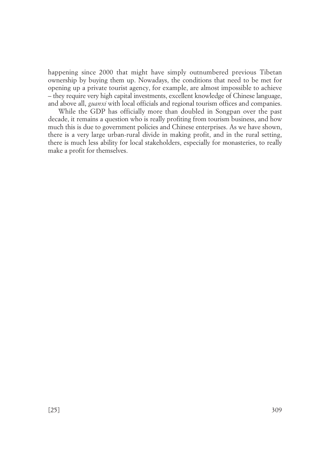happening since 2000 that might have simply outnumbered previous Tibetan ownership by buying them up. Nowadays, the conditions that need to be met for opening up a private tourist agency, for example, are almost impossible to achieve – they require very high capital investments, excellent knowledge of Chinese language, and above all, *guanxi* with local officials and regional tourism offices and companies.

While the GDP has officially more than doubled in Songpan over the past decade, it remains a question who is really profiting from tourism business, and how much this is due to government policies and Chinese enterprises. As we have shown, there is a very large urban-rural divide in making profit, and in the rural setting, there is much less ability for local stakeholders, especially for monasteries, to really make a profit for themselves.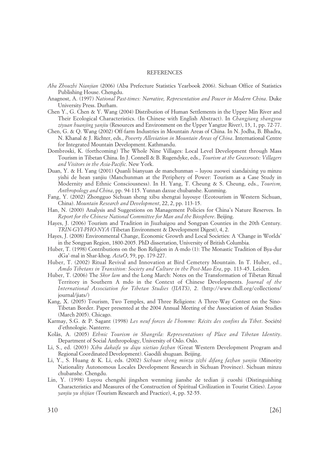#### **REFERENCES**

- *Aba Zhouzhi Nianjian* (2006) (Aba Prefecture Statistics Yearbook 2006). Sichuan Office of Statistics Publishing House. Chengdu.
- Anagnost, A. (1997) *National Past-times: Narrative, Representation and Power in Modern China*. Duke University Press. Durham.
- Chen Y., G. Chen & Y. Wang (2004) Distribution of Human Settlements in the Upper Min River and Their Ecological Characteristics. (In Chinese with English Abstract). In *Changjiang shangyou ziyuan huanjing yanjiu* (Resources and Environment on the Upper Yangtze River), 13, 1, pp. 72-77.
- Chen, G. & Q. Wang (2002) Off-farm Industries in Mountain Areas of China. In N. Jodha, B. Bhadra, N. Khanal & J. Richter, eds., *Poverty Alleviation in Mountain Areas of China*. International Centre for Integrated Mountain Development. Kathmandu.
- Dombroski, K. (forthcoming) The Whole Nine Villages: Local Level Development through Mass Tourism in Tibetan China. In J. Connell & B. Rugendyke, eds., *Tourism at the Grassroots: Villagers and Visitors in the Asia-Pacific*. New York.
- Duan, Y. & H. Yang (2001) Quanli bianyuan de manchunman luyou zuowei xiandaixing yu minzu yishi de hean yanjiu (Manchunman at the Periphery of Power: Tourism as a Case Study in Modernity and Ethnic Consciousness). In H. Yang, T. Cheung & S. Cheung, eds., *Tourism, Anthropology and China*, pp. 94-115. Yunnan daxue chubanshe. Kunming.
- Fang, Y. (2002) Zhongguo Sichuan sheng xibu shengtai luyouye (Ecotourism in Western Sichuan, China). *Mountain Research and Development*, 22, 2, pp. 113-15.
- Han, N. (2000) Analysis and Suggestions on Management Policies for China's Nature Reserves. In *Report for the Chinese National Committee for Man and the Biosphere*. Beijing.
- Hayes, J. (2006) Tourism and Tradition in Jiuzhaigou and Songpan Counties in the 20th Century. *TRIN-GYI-PHO-NYA* (Tibetan Environment & Development Digest), 4, 2.
- Hayes, J. (2008) Environmental Change, Economic Growth and Local Societies: A 'Change in Worlds' in the Songpan Region, 1800-2005. PhD dissertation, University of British Columbia.
- Huber, T. (1998) Contributions on the Bon Religion in A-mdo (1): The Monastic Tradition of Bya-dur dGa'-mal in Shar-khog. *ActaO*, 59, pp. 179-227.
- Huber, T. (2002) Ritual Revival and Innovation at Bird Cemetery Mountain. In T. Huber, ed., *Amdo Tibetans in Transition: Society and Culture in the Post-Mao Era*, pp. 113-45. Leiden.
- Huber, T. (2006) The *Skor lam* and the Long March: Notes on the Transformation of Tibetan Ritual Territory in Southern A mdo in the Context of Chinese Developments. *Journal of the International Association for Tibetan Studies (JIATS)*, 2. (http://www.thdl.org/collections/ journal/jiats/)
- Kang, X. (2005) Tourism, Two Temples, and Three Religions: A Three-Way Contest on the Sino-Tibetan Border. Paper presented at the 2004 Annual Meeting of the Association of Asian Studies (March 2005). Chicago.
- Karmay, S.G. & P. Sagant (1998) *Les neuf forces de l'homme: Récits des confins du Tibet*. Société d'ethnologie. Nanterre.
- Kolås, A. (2005) *Ethnic Tourism in Shangrila: Representations of Place and Tibetan Identity*. Department of Social Anthropology, University of Oslo. Oslo.
- Li, S., ed. (2003) *Xibu dakaifa yu diqu xietiao fazhan* (Great Western Development Program and Regional Coordinated Development). Gaodili shuguan. Beijing.
- Li, Y., S. Huang & K. Li, eds. (2002) *Sichuan sheng minzu zizhi difang fazhan yanjiu* (Minority Nationality Autonomous Locales Development Research in Sichuan Province). Sichuan minzu chubanshe. Chengdu.
- Lin, Y. (1998) Luyou chengshi jingshen wenming jianshe de tedian ji cuoshi (Distinguishing Characteristics and Measures of the Construction of Spiritual Civilization in Tourist Cities). *Luyou yanjiu yu shijian* (Tourism Research and Practice), 4, pp. 52-55.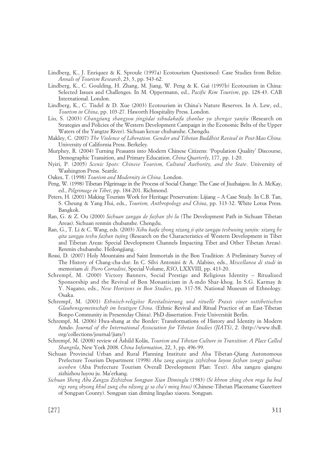- Lindberg, K., J. Enriquez & K. Sproule (1997a) Ecotourism Questioned: Case Studies from Belize. *Annals of Tourism Research*, 23, 3, pp. 543-62.
- Lindberg, K., C. Goulding, H. Zhang, M. Jiang, W. Peng & K. Gai (1997b) Ecotourism in China: Selected Issues and Challenges. In M. Oppermann, ed., *Pacific Rim Tourism*, pp. 128-43. CAB International. London.
- Lindberg, K., C. Tisdel & D. Xue (2003) Ecotourism in China's Nature Reserves. In A. Lew, ed., *Tourism in China*, pp. 103-27. Haworth Hospitality Press. London.
- Liu, S. (2003) *Changjiang shangyou jingjidai xibudakaifa zhanlue yu zhengce yanjiu* (Research on Strategies and Policies of the Western Development Campaign in the Economic Belts of the Upper Waters of the Yangtze River). Sichuan kexue chubanshe. Chengdu.
- Makley, C. (2007) *The Violence of Liberation. Gender and Tibetan Buddhist Revival in Post-Mao China*. University of California Press. Berkeley.
- Murphey, R. (2004) Turning Peasants into Modern Chinese Citizens: 'Population Quality' Discourse, Demographic Transition, and Primary Education. *China Quarterly*, 177, pp. 1-20.
- Nyiri, P. (2005) *Scenic Spots: Chinese Tourism, Cultural Authority, and the State*. University of Washington Press. Seattle.
- Oakes, T. (1998) *Tourism and Modernity in China*. London.
- Peng, W. (1998) Tibetan Pilgrimage in the Process of Social Change: The Case of Jiuzhaigou. In A. McKay, ed., *Pilgrimage in Tibet*, pp. 184-201. Richmond.
- Peters, H. (2001) Making Tourism Work for Heritage Preservation: Lijiang A Case Study. In C.B. Tan, S. Cheung & Yang Hui, eds., *Tourism, Anthropology and China*, pp. 313-32. White Lotus Press. Bangkok.
- Ran, G. & Z. Ou (2000) *Sichuan zangqu de fazhan zhi lu* (The Development Path in Sichuan Tibetan Areas). Sichuan renmin chubanshe. Chengdu.
- Ran, G., T. Li & C. Wang, eds. (2003) *Xibu kaifa zhong xizang ji qita zangqu teshuxing yanjiu: xizang he qita zangqu teshu fazhan tujing* (Research on the Characteristics of Western Development in Tibet and Tibetan Areas: Special Development Channels Impacting Tibet and Other Tibetan Areas). Renmin chubanshe. Heilongjiang.
- Rossi, D. (2007) Holy Mountains and Saint Immortals in the Bon Tradition: A Preliminary Survey of The History of Chang-cha-dur. In C. Silvi Antonini & A. Alabiso, eds., *Miscellanea di studi* in memoriam *di. Piero Corradini*, Special Volume, *RSO*, LXXVIII, pp. 413-20.
- Schrempf, M. (2000) Victory Banners, Social Prestige and Religious Identity Ritualized Sponsorship and the Revival of Bon Monasticism in A-mdo Shar-khog. In S.G. Karmay & Y. Nagano, eds., *New Horizons in Bon Studies*, pp. 317-58. National Museum of Ethnology. Osaka.
- Schrempf, M. (2001) *Ethnisch-religiöse Revitalisierung und rituelle Praxis einer osttibetischen Glaubensgemeinschaft im heutigen China*. (Ethnic Revival and Ritual Practice of an East-Tibetan Bonpo Community in Presentday China). PhD dissertation. Freie Universität Berlin.
- Schrempf, M. (2006) Hwa-shang at the Border: Transformations of History and Identity in Modern Amdo. *Journal of the International Association for Tibetan Studies (JIATS)*, 2. (http://www.thdl. org/collections/journal/jiats/)
- Schrempf, M. (2008) review of Åshild Kolås, *Tourism and Tibetan Culture in Transition: A Place Called Shangrila*, New York 2008. *China Information*, 22, 3, pp. 496-99.
- Sichuan Provincial Urban and Rural Planning Institute and Aba Tibetan-Qiang Autonomous Prefecture Tourism Department (1998) *Aba zang qiangzu zizhizhou luyou fazhan zongti guihua: wenben* (Aba Prefecture Tourism Overall Development Plan: Text). Aba zangzu qiangzu zizhizhou luyou ju. Ma'erkang.
- *Sichuan Sheng Aba Zangzu Zizhizhou Songpan Xian Diminglu* (1983) *(Si khron zhing chen rnga ba bod rigs rang skyong khul zung chu rdzong gi sa cha'i ming btus)* (Chinese-Tibetan Placename Gazetteer of Songpan County). Songpan xian diming lingdao xiaozu. Songpan.